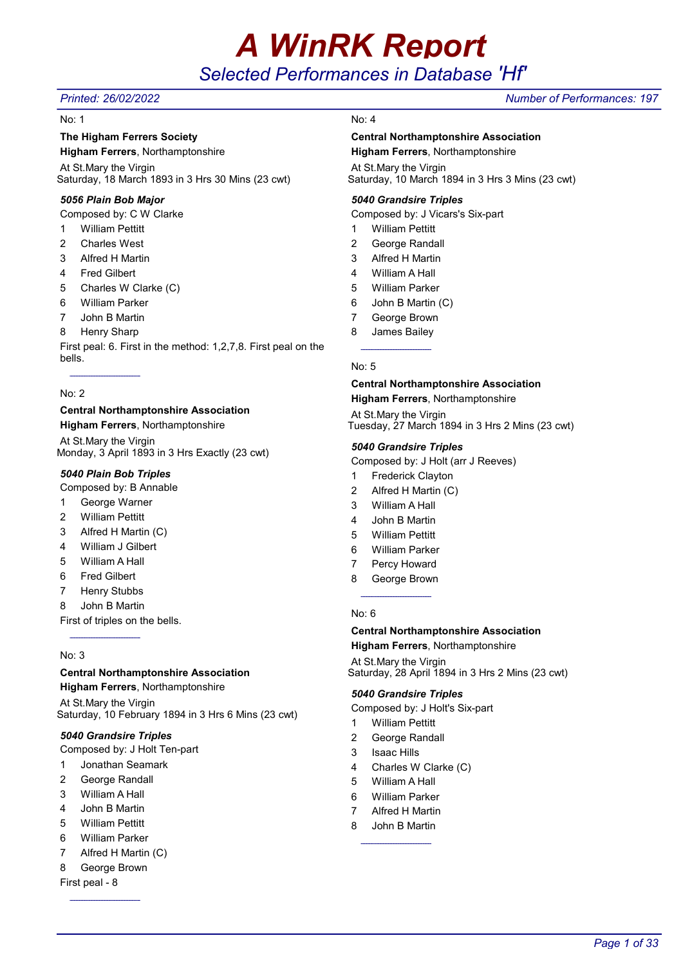# A WinRK Report

# Selected Performances in Database 'Hf'

#### No: 1

### The Higham Ferrers Society

Higham Ferrers, Northamptonshire At St.Mary the Virgin Saturday, 18 March 1893 in 3 Hrs 30 Mins (23 cwt)

#### 5056 Plain Bob Major

Composed by: C W Clarke

- 1 William Pettitt
- 2 Charles West
- 3 Alfred H Martin
- 4 Fred Gilbert
- 5 Charles W Clarke (C)
- 6 William Parker
- 7 John B Martin
- 8 Henry Sharp

First peal: 6. First in the method: 1,2,7,8. First peal on the bells.

#### No: 2

### Central Northamptonshire Association

Higham Ferrers, Northamptonshire

At St.Mary the Virgin Monday, 3 April 1893 in 3 Hrs Exactly (23 cwt)

### 5040 Plain Bob Triples

Composed by: B Annable

- 1 George Warner
- 2 William Pettitt
- 3 Alfred H Martin (C)
- 4 William J Gilbert
- 5 William A Hall
- 6 Fred Gilbert
- 7 Henry Stubbs
- 8 John B Martin

First of triples on the bells.

#### No: 3

### Central Northamptonshire Association

Higham Ferrers, Northamptonshire

At St.Mary the Virgin Saturday, 10 February 1894 in 3 Hrs 6 Mins (23 cwt)

#### 5040 Grandsire Triples

Composed by: J Holt Ten-part

- 1 Jonathan Seamark
- 2 George Randall
- 3 William A Hall
- 4 John B Martin
- 5 William Pettitt
- 6 William Parker
- 7 Alfred H Martin (C)
- 8 George Brown
- First peal 8

### No: 4

#### Central Northamptonshire Association

Higham Ferrers, Northamptonshire At St.Mary the Virgin

Saturday, 10 March 1894 in 3 Hrs 3 Mins (23 cwt)

#### 5040 Grandsire Triples

Composed by: J Vicars's Six-part

- 1 William Pettitt
- 2 George Randall
- 3 Alfred H Martin
- 4 William A Hall
- 5 William Parker
- 6 John B Martin (C)
- 7 George Brown
- 8 James Bailey

#### No: 5

#### Central Northamptonshire Association Higham Ferrers, Northamptonshire

At St.Mary the Virgin Tuesday, 27 March 1894 in 3 Hrs 2 Mins (23 cwt)

#### 5040 Grandsire Triples

Composed by: J Holt (arr J Reeves)

- 1 Frederick Clayton
- 2 Alfred H Martin (C)
- 3 William A Hall
- 4 John B Martin
- 5 William Pettitt
- 6 William Parker
- 7 Percy Howard
- 8 George Brown

#### No: 6

#### Central Northamptonshire Association

Higham Ferrers, Northamptonshire

At St.Mary the Virgin Saturday, 28 April 1894 in 3 Hrs 2 Mins (23 cwt)

#### 5040 Grandsire Triples

Composed by: J Holt's Six-part

- 1 William Pettitt
- 2 George Randall
- 3 Isaac Hills
- 4 Charles W Clarke (C)
- 5 William A Hall
- 6 William Parker
- 7 Alfred H Martin
- 8 John B Martin

### Printed: 26/02/2022 Number of Performances: 197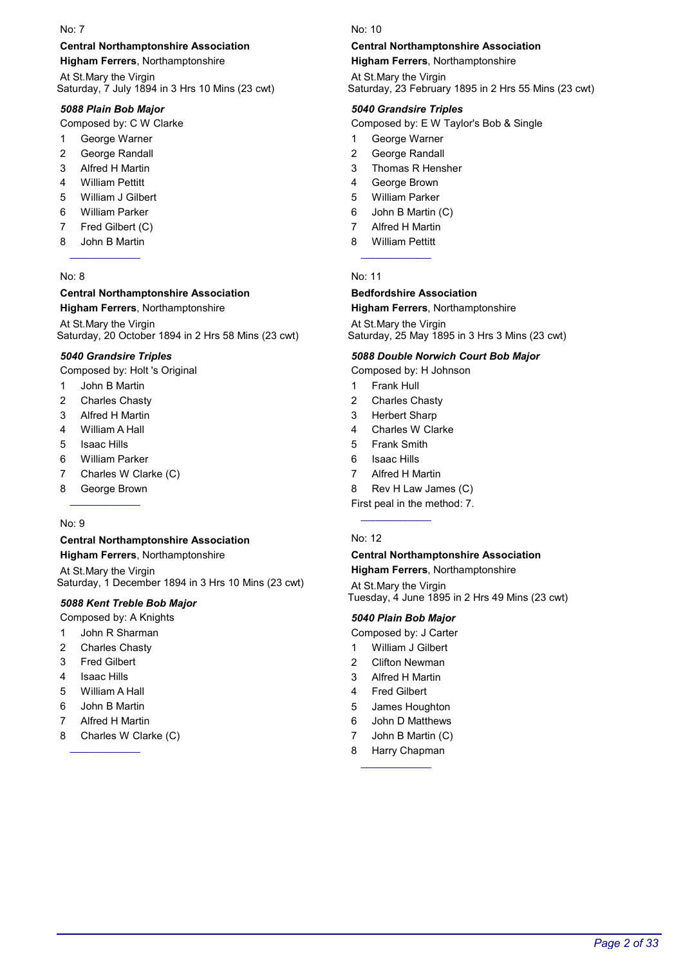### Central Northamptonshire Association

Higham Ferrers, Northamptonshire

At St.Mary the Virgin Saturday, 7 July 1894 in 3 Hrs 10 Mins (23 cwt)

### 5088 Plain Bob Major

Composed by: C W Clarke

- 1 George Warner
- 2 George Randall
- 3 Alfred H Martin
- 4 William Pettitt
- 5 William J Gilbert
- 6 William Parker
- 7 Fred Gilbert (C)
- 8 John B Martin

#### No: 8

#### Central Northamptonshire Association Higham Ferrers, Northamptonshire

At St.Mary the Virgin Saturday, 20 October 1894 in 2 Hrs 58 Mins (23 cwt)

#### 5040 Grandsire Triples

Composed by: Holt 's Original

- 1 John B Martin
- 2 Charles Chasty
- 3 Alfred H Martin
- 4 William A Hall
- 5 Isaac Hills
- 6 William Parker
- 7 Charles W Clarke (C)
- 8 George Brown

#### No: 9

### Central Northamptonshire Association

Higham Ferrers, Northamptonshire At St.Mary the Virgin Saturday, 1 December 1894 in 3 Hrs 10 Mins (23 cwt)

### 5088 Kent Treble Bob Major

- Composed by: A Knights
- 1 John R Sharman
- 2 Charles Chasty
- 3 Fred Gilbert
- 4 Isaac Hills
- 5 William A Hall
- 6 John B Martin
- 7 Alfred H Martin
- 8 Charles W Clarke (C)

#### No: 10

### Central Northamptonshire Association

Higham Ferrers, Northamptonshire

At St.Mary the Virgin Saturday, 23 February 1895 in 2 Hrs 55 Mins (23 cwt)

#### 5040 Grandsire Triples

Composed by: E W Taylor's Bob & Single

- 1 George Warner
- 2 George Randall
- 3 Thomas R Hensher
- 4 George Brown
- 5 William Parker
- 6 John B Martin (C)
- 7 Alfred H Martin
- 8 William Pettitt

#### No: 11

### Bedfordshire Association

#### Higham Ferrers, Northamptonshire

At St.Mary the Virgin Saturday, 25 May 1895 in 3 Hrs 3 Mins (23 cwt)

#### 5088 Double Norwich Court Bob Major

Composed by: H Johnson

- 1 Frank Hull
- 2 Charles Chasty
- 3 Herbert Sharp
- 4 Charles W Clarke
- 5 Frank Smith
- 6 Isaac Hills
- 7 Alfred H Martin
- 8 Rev H Law James (C)
- First peal in the method: 7.

#### No: 12

### Central Northamptonshire Association Higham Ferrers, Northamptonshire

At St.Mary the Virgin Tuesday, 4 June 1895 in 2 Hrs 49 Mins (23 cwt)

#### 5040 Plain Bob Major

Composed by: J Carter

- 1 William J Gilbert
- 2 Clifton Newman
- 3 Alfred H Martin
- 4 Fred Gilbert
- 5 James Houghton
- 6 John D Matthews
- 7 John B Martin (C)
- 8 Harry Chapman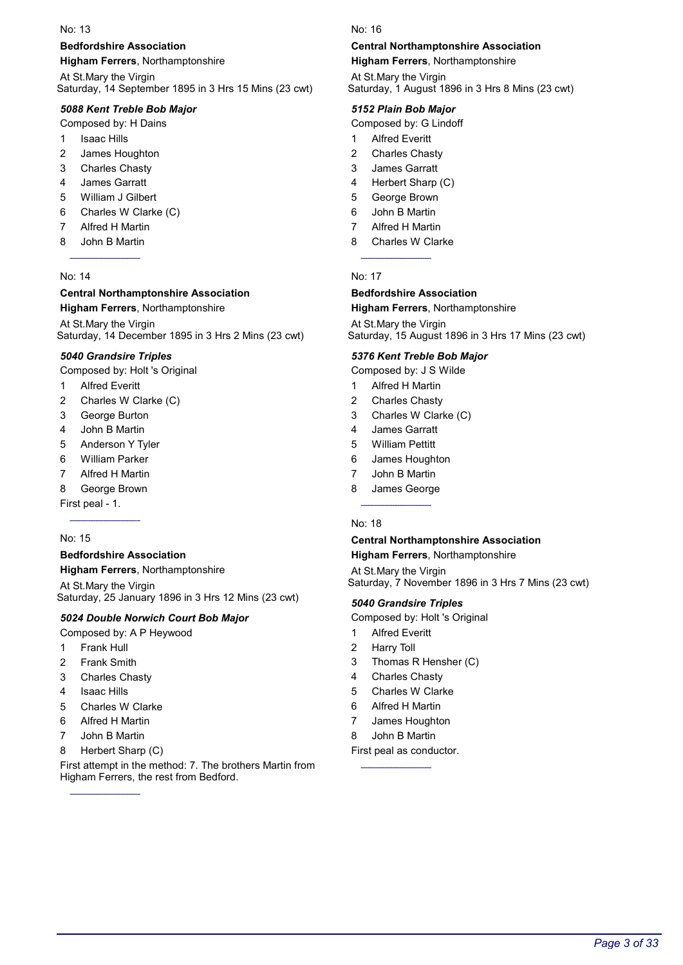### Bedfordshire Association

Higham Ferrers, Northamptonshire

At St.Mary the Virgin Saturday, 14 September 1895 in 3 Hrs 15 Mins (23 cwt)

### 5088 Kent Treble Bob Major

Composed by: H Dains

- 1 Isaac Hills
- 2 James Houghton
- 3 Charles Chasty
- 4 James Garratt
- 5 William J Gilbert
- 6 Charles W Clarke (C)
- 7 Alfred H Martin
- 8 John B Martin

#### No: 14

# Central Northamptonshire Association

Higham Ferrers, Northamptonshire

At St.Mary the Virgin Saturday, 14 December 1895 in 3 Hrs 2 Mins (23 cwt)

#### 5040 Grandsire Triples

Composed by: Holt 's Original

- 1 Alfred Everitt
- 2 Charles W Clarke (C)
- 3 George Burton
- 4 John B Martin
- 5 Anderson Y Tyler
- 6 William Parker
- 7 Alfred H Martin
- 8 George Brown

First peal - 1.

#### No: 15

### Bedfordshire Association

Higham Ferrers, Northamptonshire

At St.Mary the Virgin Saturday, 25 January 1896 in 3 Hrs 12 Mins (23 cwt)

#### 5024 Double Norwich Court Bob Major

Composed by: A P Heywood

- 1 Frank Hull
- 2 Frank Smith
- 3 Charles Chasty
- 4 Isaac Hills
- 5 Charles W Clarke
- 6 Alfred H Martin
- 7 John B Martin
- 8 Herbert Sharp (C)

First attempt in the method: 7. The brothers Martin from Higham Ferrers, the rest from Bedford.

#### No: 16

### Central Northamptonshire Association

Higham Ferrers, Northamptonshire

At St.Mary the Virgin Saturday, 1 August 1896 in 3 Hrs 8 Mins (23 cwt)

#### 5152 Plain Bob Major

Composed by: G Lindoff

- 1 Alfred Everitt
- 2 Charles Chasty
- 3 James Garratt
- 4 Herbert Sharp (C)
- 5 George Brown
- 6 John B Martin
- 7 Alfred H Martin
- 8 Charles W Clarke

#### No: 17

### Bedfordshire Association Higham Ferrers, Northamptonshire

At St.Mary the Virgin Saturday, 15 August 1896 in 3 Hrs 17 Mins (23 cwt)

#### 5376 Kent Treble Bob Major

Composed by: J S Wilde

- 1 Alfred H Martin
- 2 Charles Chasty
- 3 Charles W Clarke (C)
- 4 James Garratt
- 5 William Pettitt
- 6 James Houghton
- 7 John B Martin
- 8 James George

#### No: 18

### Central Northamptonshire Association

Higham Ferrers, Northamptonshire

At St.Mary the Virgin Saturday, 7 November 1896 in 3 Hrs 7 Mins (23 cwt)

### 5040 Grandsire Triples

- Composed by: Holt 's Original
- 1 Alfred Everitt
- 2 Harry Toll
- 3 Thomas R Hensher (C)
- 4 Charles Chasty
- 5 Charles W Clarke
- 6 Alfred H Martin
- 7 James Houghton
- 8 John B Martin

First peal as conductor.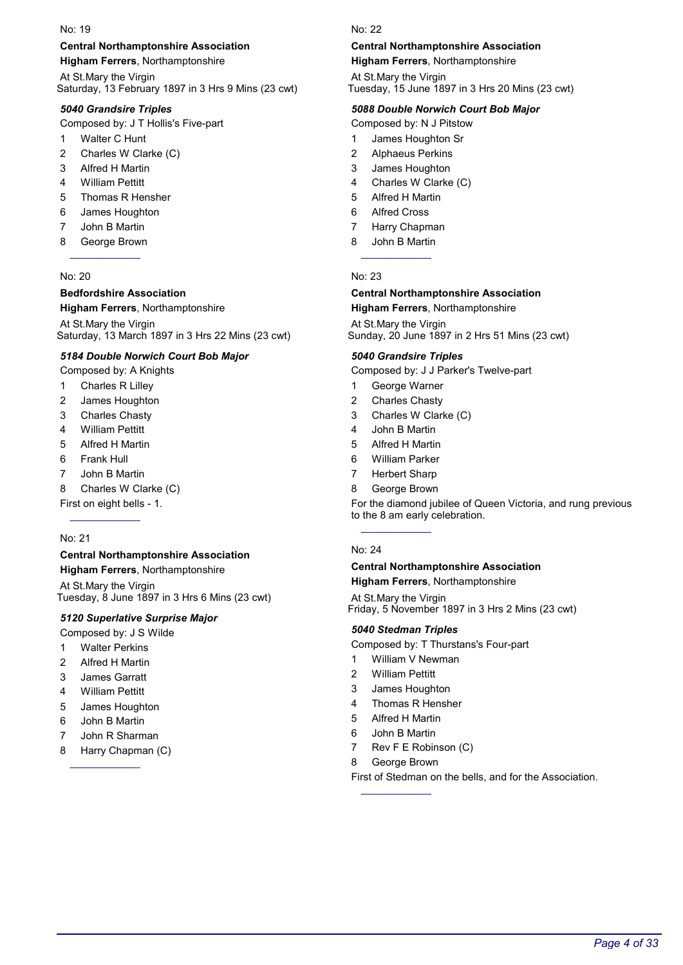### Central Northamptonshire Association

Higham Ferrers, Northamptonshire

At St.Mary the Virgin Saturday, 13 February 1897 in 3 Hrs 9 Mins (23 cwt)

### 5040 Grandsire Triples

Composed by: J T Hollis's Five-part

- 1 Walter C Hunt
- 2 Charles W Clarke (C)
- 3 Alfred H Martin
- 4 William Pettitt
- 5 Thomas R Hensher
- 6 James Houghton
- 7 John B Martin
- 8 George Brown

### No: 20

### Bedfordshire Association

### Higham Ferrers, Northamptonshire

At St.Mary the Virgin Saturday, 13 March 1897 in 3 Hrs 22 Mins (23 cwt)

### 5184 Double Norwich Court Bob Major

Composed by: A Knights

- 1 Charles R Lilley
- 2 James Houghton
- 3 Charles Chasty
- 4 William Pettitt
- 5 Alfred H Martin
- 6 Frank Hull
- 7 John B Martin
- 8 Charles W Clarke (C)

First on eight bells - 1.

### No: 21

#### Central Northamptonshire Association Higham Ferrers, Northamptonshire

At St.Mary the Virgin Tuesday, 8 June 1897 in 3 Hrs 6 Mins (23 cwt)

### 5120 Superlative Surprise Major

Composed by: J S Wilde

- 1 Walter Perkins
- 2 Alfred H Martin
- 3 James Garratt
- 4 William Pettitt
- 5 James Houghton
- 6 John B Martin
- 7 John R Sharman
- 8 Harry Chapman (C)

#### No: 22

### Central Northamptonshire Association

Higham Ferrers, Northamptonshire

At St.Mary the Virgin Tuesday, 15 June 1897 in 3 Hrs 20 Mins (23 cwt)

#### 5088 Double Norwich Court Bob Major

Composed by: N J Pitstow

- 1 James Houghton Sr
- 2 Alphaeus Perkins
- 3 James Houghton
- 4 Charles W Clarke (C)
- 5 Alfred H Martin
- 6 Alfred Cross
- 7 Harry Chapman
- 8 John B Martin

#### No: 23

#### Central Northamptonshire Association Higham Ferrers, Northamptonshire

At St.Mary the Virgin Sunday, 20 June 1897 in 2 Hrs 51 Mins (23 cwt)

#### 5040 Grandsire Triples

Composed by: J J Parker's Twelve-part

- 1 George Warner
- 2 Charles Chasty
- 3 Charles W Clarke (C)
- 4 John B Martin
- 5 Alfred H Martin
- 6 William Parker
- 7 Herbert Sharp
- 8 George Brown

For the diamond jubilee of Queen Victoria, and rung previous to the 8 am early celebration.

#### No: 24

#### Central Northamptonshire Association Higham Ferrers, Northamptonshire

At St.Mary the Virgin

Friday, 5 November 1897 in 3 Hrs 2 Mins (23 cwt)

#### 5040 Stedman Triples

Composed by: T Thurstans's Four-part

- 1 William V Newman
- 2 William Pettitt
- 3 James Houghton
- 4 Thomas R Hensher
- 5 Alfred H Martin
- 6 John B Martin
- 7 Rev F E Robinson (C)

#### 8 George Brown

First of Stedman on the bells, and for the Association.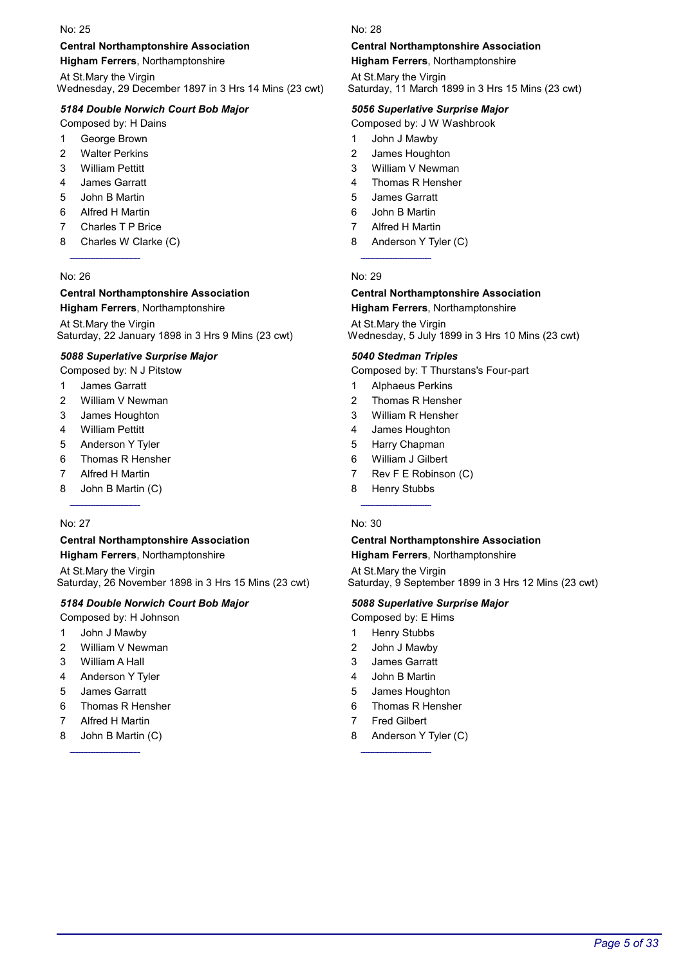#### Central Northamptonshire Association

Higham Ferrers, Northamptonshire

At St.Mary the Virgin Wednesday, 29 December 1897 in 3 Hrs 14 Mins (23 cwt)

#### 5184 Double Norwich Court Bob Major

Composed by: H Dains

- 1 George Brown
- 2 Walter Perkins
- 3 William Pettitt
- 4 James Garratt
- 5 John B Martin
- 6 Alfred H Martin
- 7 Charles T P Brice
- 8 Charles W Clarke (C)

#### No: 26

#### Central Northamptonshire Association Higham Ferrers, Northamptonshire

At St.Mary the Virgin Saturday, 22 January 1898 in 3 Hrs 9 Mins (23 cwt)

#### 5088 Superlative Surprise Major

Composed by: N J Pitstow

- 1 James Garratt
- 2 William V Newman
- 3 James Houghton
- 4 William Pettitt
- 5 Anderson Y Tyler
- 6 Thomas R Hensher
- 7 Alfred H Martin
- 8 John B Martin (C)

#### No: 27

### Central Northamptonshire Association

Higham Ferrers, Northamptonshire

At St.Mary the Virgin Saturday, 26 November 1898 in 3 Hrs 15 Mins (23 cwt)

#### 5184 Double Norwich Court Bob Major

- Composed by: H Johnson
- 1 John J Mawby
- 2 William V Newman
- 3 William A Hall
- 4 Anderson Y Tyler
- 5 James Garratt
- 6 Thomas R Hensher
- 7 Alfred H Martin
- 8 John B Martin (C)

#### No: 28

### Central Northamptonshire Association

Higham Ferrers, Northamptonshire

At St.Mary the Virgin Saturday, 11 March 1899 in 3 Hrs 15 Mins (23 cwt)

#### 5056 Superlative Surprise Major

Composed by: J W Washbrook

- 1 John J Mawby
- 2 James Houghton
- 3 William V Newman
- 4 Thomas R Hensher
- 5 James Garratt
- 6 John B Martin
- 7 Alfred H Martin
- 8 Anderson Y Tyler (C)

#### No: 29

#### Central Northamptonshire Association Higham Ferrers, Northamptonshire

At St.Mary the Virgin Wednesday, 5 July 1899 in 3 Hrs 10 Mins (23 cwt)

#### 5040 Stedman Triples

Composed by: T Thurstans's Four-part

- 1 Alphaeus Perkins
- 2 Thomas R Hensher
- 3 William R Hensher
- 4 James Houghton
- 5 Harry Chapman
- 6 William J Gilbert
- 7 Rev F E Robinson (C)
- 8 Henry Stubbs

#### No: 30

### Central Northamptonshire Association

Higham Ferrers, Northamptonshire

At St.Mary the Virgin Saturday, 9 September 1899 in 3 Hrs 12 Mins (23 cwt)

#### 5088 Superlative Surprise Major

- Composed by: E Hims
- 1 Henry Stubbs
- 2 John J Mawby
- 3 James Garratt
- 4 John B Martin
- 5 James Houghton
- 6 Thomas R Hensher
- 7 Fred Gilbert
- 8 Anderson Y Tyler (C)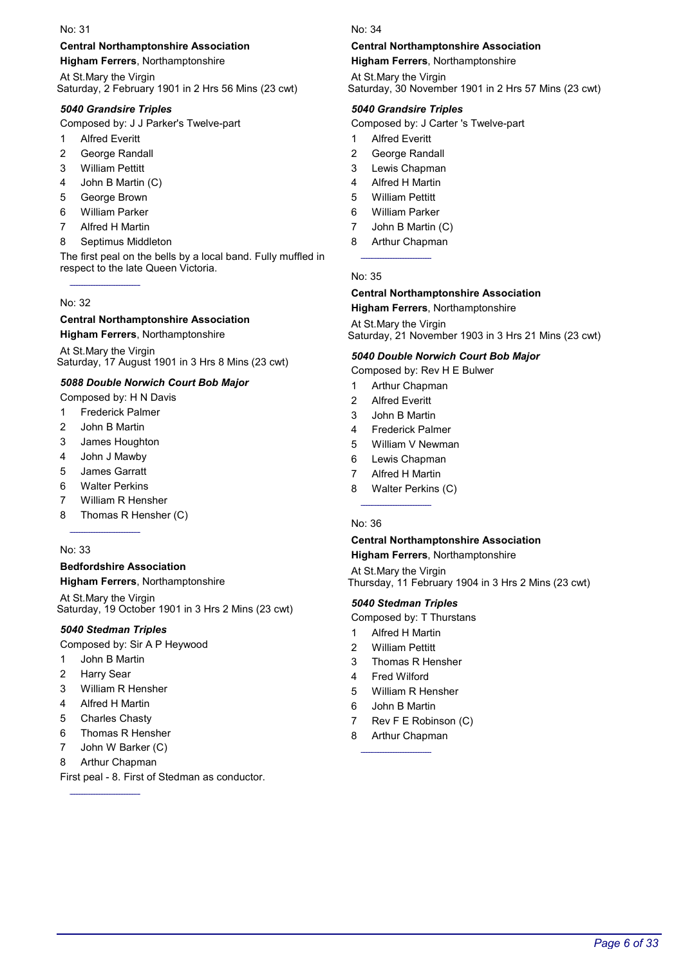### Central Northamptonshire Association

Higham Ferrers, Northamptonshire

At St.Mary the Virgin Saturday, 2 February 1901 in 2 Hrs 56 Mins (23 cwt)

### 5040 Grandsire Triples

Composed by: J J Parker's Twelve-part

- 1 Alfred Everitt
- 2 George Randall
- 3 William Pettitt
- 4 John B Martin (C)
- 5 George Brown
- 6 William Parker
- 7 Alfred H Martin
- 8 Septimus Middleton

The first peal on the bells by a local band. Fully muffled in respect to the late Queen Victoria.

#### No: 32

#### Central Northamptonshire Association Higham Ferrers, Northamptonshire

At St.Mary the Virgin Saturday, 17 August 1901 in 3 Hrs 8 Mins (23 cwt)

### 5088 Double Norwich Court Bob Major

- Composed by: H N Davis
- 1 Frederick Palmer
- 2 John B Martin
- 3 James Houghton
- 4 John J Mawby
- 5 James Garratt
- 6 Walter Perkins
- 7 William R Hensher
- 8 Thomas R Hensher (C)

#### No: 33

### Bedfordshire Association

Higham Ferrers, Northamptonshire

At St.Mary the Virgin Saturday, 19 October 1901 in 3 Hrs 2 Mins (23 cwt)

### 5040 Stedman Triples

Composed by: Sir A P Heywood

- 1 John B Martin
- 2 Harry Sear
- 3 William R Hensher
- 4 Alfred H Martin
- 5 Charles Chasty
- 6 Thomas R Hensher
- 7 John W Barker (C)
- 8 Arthur Chapman

First peal - 8. First of Stedman as conductor.

#### No: 34

### Central Northamptonshire Association

Higham Ferrers, Northamptonshire

At St.Mary the Virgin Saturday, 30 November 1901 in 2 Hrs 57 Mins (23 cwt)

#### 5040 Grandsire Triples

Composed by: J Carter 's Twelve-part

- 1 Alfred Everitt
- 2 George Randall
- 3 Lewis Chapman
- 4 Alfred H Martin
- 5 William Pettitt
- 6 William Parker
- 7 John B Martin (C)
- 8 Arthur Chapman

#### No: 35

# Central Northamptonshire Association

Higham Ferrers, Northamptonshire

At St.Mary the Virgin Saturday, 21 November 1903 in 3 Hrs 21 Mins (23 cwt)

#### 5040 Double Norwich Court Bob Major

Composed by: Rev H E Bulwer

- 1 Arthur Chapman
- 2 Alfred Everitt
- 3 John B Martin
- 4 Frederick Palmer
- 5 William V Newman
- 6 Lewis Chapman
- 7 Alfred H Martin
- 8 Walter Perkins (C)

#### No: 36

# Central Northamptonshire Association

Higham Ferrers, Northamptonshire

At St.Mary the Virgin Thursday, 11 February 1904 in 3 Hrs 2 Mins (23 cwt)

#### 5040 Stedman Triples

- Composed by: T Thurstans
- 1 Alfred H Martin
- 2 William Pettitt
- 3 Thomas R Hensher
- 4 Fred Wilford
- 5 William R Hensher
- 6 John B Martin
- 7 Rev F E Robinson (C)
- 8 Arthur Chapman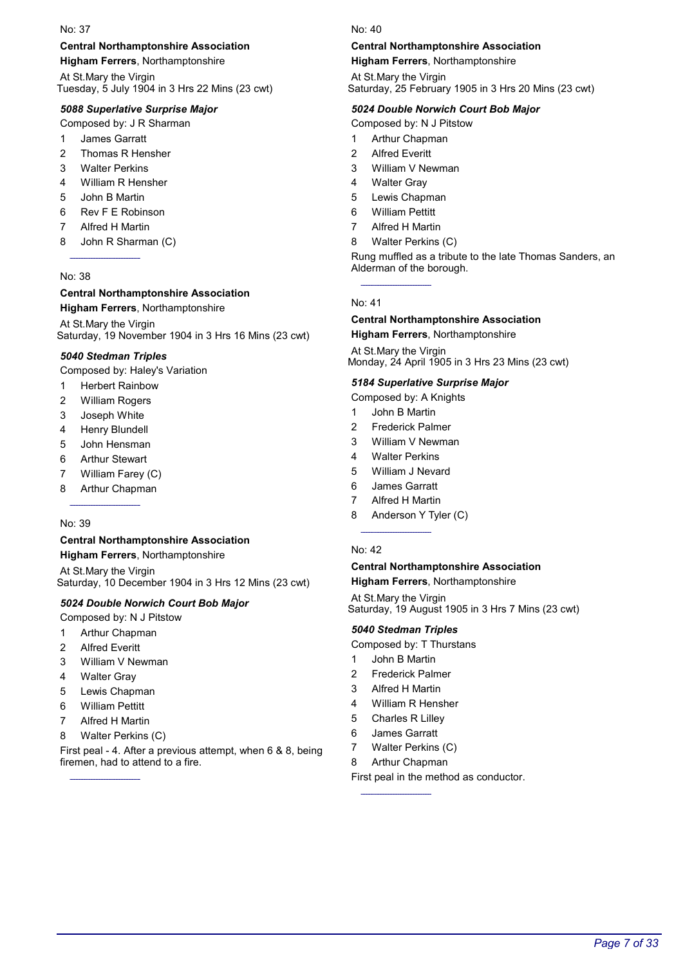#### Central Northamptonshire Association

Higham Ferrers, Northamptonshire

At St.Mary the Virgin Tuesday, 5 July 1904 in 3 Hrs 22 Mins (23 cwt)

#### 5088 Superlative Surprise Major

Composed by: J R Sharman

- 1 James Garratt
- 2 Thomas R Hensher
- 3 Walter Perkins
- 4 William R Hensher
- 5 John B Martin
- 6 Rev F E Robinson
- 7 Alfred H Martin
- 8 John R Sharman (C)

#### No: 38

### Central Northamptonshire Association

Higham Ferrers, Northamptonshire

At St.Mary the Virgin Saturday, 19 November 1904 in 3 Hrs 16 Mins (23 cwt)

#### 5040 Stedman Triples

Composed by: Haley's Variation

- 1 Herbert Rainbow
- 2 William Rogers
- 3 Joseph White
- 4 Henry Blundell
- 5 John Hensman
- 6 Arthur Stewart
- 7 William Farey (C)
- 8 Arthur Chapman

#### No: 39

# Central Northamptonshire Association

Higham Ferrers, Northamptonshire At St.Mary the Virgin Saturday, 10 December 1904 in 3 Hrs 12 Mins (23 cwt)

#### 5024 Double Norwich Court Bob Major

- Composed by: N J Pitstow
- 1 Arthur Chapman
- 2 Alfred Everitt
- 3 William V Newman
- 4 Walter Gray
- 5 Lewis Chapman
- 6 William Pettitt
- 7 Alfred H Martin
- 8 Walter Perkins (C)

First peal - 4. After a previous attempt, when 6 & 8, being firemen, had to attend to a fire.

No: 40

### Central Northamptonshire Association

Higham Ferrers, Northamptonshire

At St.Mary the Virgin Saturday, 25 February 1905 in 3 Hrs 20 Mins (23 cwt)

#### 5024 Double Norwich Court Bob Major

Composed by: N J Pitstow

- 1 Arthur Chapman
- 2 Alfred Everitt
- 3 William V Newman
- 4 Walter Gray
- 5 Lewis Chapman
- 6 William Pettitt
- 7 Alfred H Martin
- 8 Walter Perkins (C)

Rung muffled as a tribute to the late Thomas Sanders, an Alderman of the borough.

#### No: 41

#### Central Northamptonshire Association Higham Ferrers, Northamptonshire

At St.Mary the Virgin Monday, 24 April 1905 in 3 Hrs 23 Mins (23 cwt)

#### 5184 Superlative Surprise Major

- Composed by: A Knights
- 1 John B Martin
- 2 Frederick Palmer
- 3 William V Newman
- 4 Walter Perkins
- 5 William J Nevard
- 6 James Garratt
- 7 Alfred H Martin
- 8 Anderson Y Tyler (C)

#### No: 42

### Central Northamptonshire Association

Higham Ferrers, Northamptonshire

At St.Mary the Virgin Saturday, 19 August 1905 in 3 Hrs 7 Mins (23 cwt)

#### 5040 Stedman Triples

Composed by: T Thurstans

- 1 John B Martin
- 2 Frederick Palmer
- 3 Alfred H Martin
- 4 William R Hensher
- 5 Charles R Lilley
- 6 James Garratt
- 7 Walter Perkins (C)

8 Arthur Chapman

First peal in the method as conductor.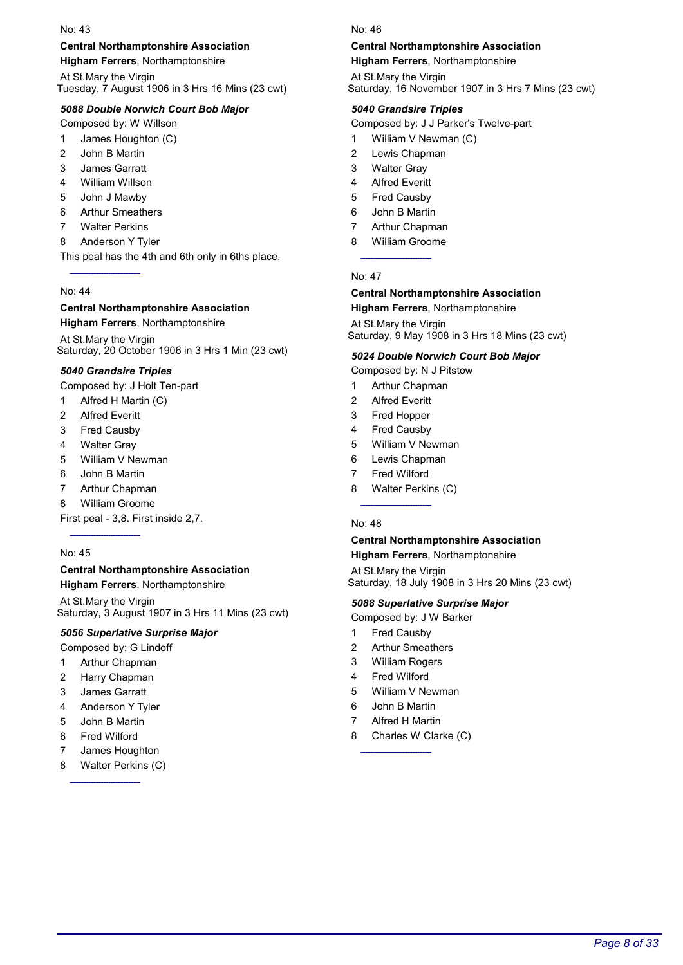### Central Northamptonshire Association

Higham Ferrers, Northamptonshire

At St.Mary the Virgin Tuesday, 7 August 1906 in 3 Hrs 16 Mins (23 cwt)

### 5088 Double Norwich Court Bob Major

Composed by: W Willson

- 1 James Houghton (C)
- 2 John B Martin
- 3 James Garratt
- 4 William Willson
- 5 John J Mawby
- 6 Arthur Smeathers
- 7 Walter Perkins
- 8 Anderson Y Tyler

This peal has the 4th and 6th only in 6ths place.

### No: 44

# Central Northamptonshire Association

Higham Ferrers, Northamptonshire

At St.Mary the Virgin Saturday, 20 October 1906 in 3 Hrs 1 Min (23 cwt)

### 5040 Grandsire Triples

Composed by: J Holt Ten-part

- 1 Alfred H Martin (C)
- 2 Alfred Everitt
- 3 Fred Causby
- 4 Walter Gray
- 5 William V Newman
- 6 John B Martin
- 7 Arthur Chapman
- 8 William Groome

First peal - 3,8. First inside 2,7.

### No: 45

### Central Northamptonshire Association

Higham Ferrers, Northamptonshire

At St.Mary the Virgin Saturday, 3 August 1907 in 3 Hrs 11 Mins (23 cwt)

### 5056 Superlative Surprise Major

Composed by: G Lindoff

- 1 Arthur Chapman
- 2 Harry Chapman
- 3 James Garratt
- 4 Anderson Y Tyler
- 5 John B Martin
- 6 Fred Wilford
- 7 James Houghton
- 8 Walter Perkins (C)

#### No: 46

### Central Northamptonshire Association

Higham Ferrers, Northamptonshire

At St.Mary the Virgin Saturday, 16 November 1907 in 3 Hrs 7 Mins (23 cwt)

### 5040 Grandsire Triples

Composed by: J J Parker's Twelve-part

- 1 William V Newman (C)
- 2 Lewis Chapman
- 3 Walter Gray
- 4 Alfred Everitt
- 5 Fred Causby
- 6 John B Martin
- 7 Arthur Chapman
- 8 William Groome

No: 47

# Central Northamptonshire Association

Higham Ferrers, Northamptonshire

At St.Mary the Virgin Saturday, 9 May 1908 in 3 Hrs 18 Mins (23 cwt)

### 5024 Double Norwich Court Bob Major

Composed by: N J Pitstow

- 1 Arthur Chapman
- 2 Alfred Everitt
- 3 Fred Hopper
- 4 Fred Causby
- 5 William V Newman
- 6 Lewis Chapman
- 7 Fred Wilford
- 8 Walter Perkins (C)

### No: 48

#### Central Northamptonshire Association Higham Ferrers, Northamptonshire

At St.Mary the Virgin Saturday, 18 July 1908 in 3 Hrs 20 Mins (23 cwt)

### 5088 Superlative Surprise Major

- Composed by: J W Barker
- 1 Fred Causby
- 2 Arthur Smeathers
- 3 William Rogers
- 4 Fred Wilford
- 5 William V Newman
- 6 John B Martin
- 7 Alfred H Martin
- 8 Charles W Clarke (C)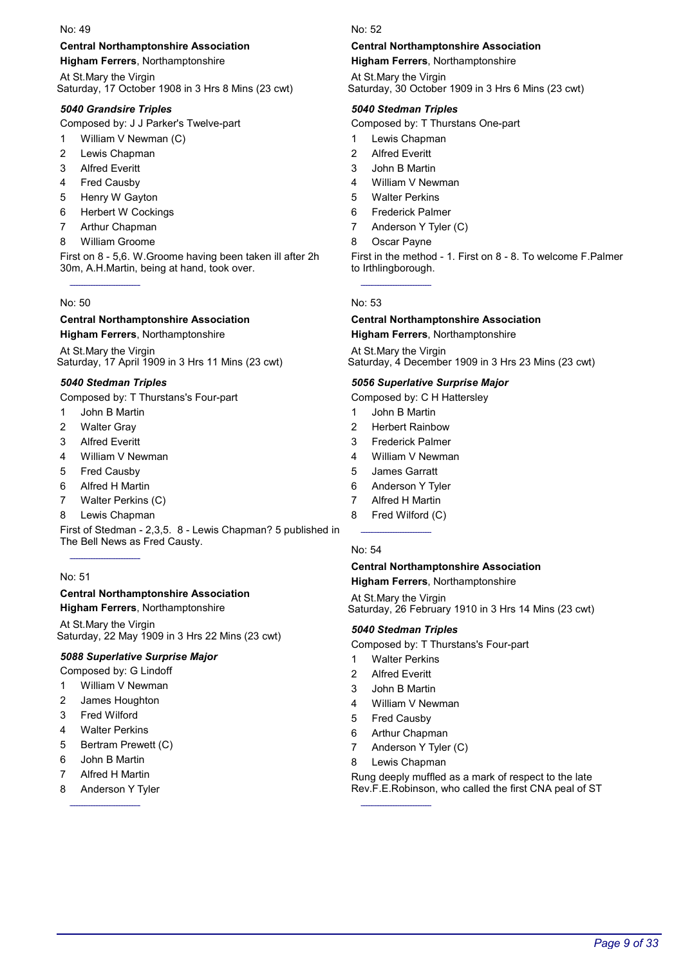### Central Northamptonshire Association

Higham Ferrers, Northamptonshire

At St.Mary the Virgin Saturday, 17 October 1908 in 3 Hrs 8 Mins (23 cwt)

### 5040 Grandsire Triples

Composed by: J J Parker's Twelve-part

- 1 William V Newman (C)
- 2 Lewis Chapman
- 3 Alfred Everitt
- 4 Fred Causby
- 5 Henry W Gayton
- 6 Herbert W Cockings
- 7 Arthur Chapman
- 8 William Groome

First on 8 - 5,6. W.Groome having been taken ill after 2h 30m, A.H.Martin, being at hand, took over.

#### No: 50

#### Central Northamptonshire Association Higham Ferrers, Northamptonshire

At St.Mary the Virgin Saturday, 17 April 1909 in 3 Hrs 11 Mins (23 cwt)

### 5040 Stedman Triples

Composed by: T Thurstans's Four-part

- 1 John B Martin
- 2 Walter Gray
- 3 Alfred Everitt
- 4 William V Newman
- 5 Fred Causby
- 6 Alfred H Martin
- 7 Walter Perkins (C)
- 8 Lewis Chapman

First of Stedman - 2,3,5. 8 - Lewis Chapman? 5 published in The Bell News as Fred Causty.

### No: 51

### Central Northamptonshire Association

Higham Ferrers, Northamptonshire

At St.Mary the Virgin Saturday, 22 May 1909 in 3 Hrs 22 Mins (23 cwt)

#### 5088 Superlative Surprise Major

Composed by: G Lindoff

- 1 William V Newman
- 2 James Houghton
- 3 Fred Wilford
- 4 Walter Perkins
- 5 Bertram Prewett (C)
- 6 John B Martin
- 7 Alfred H Martin
- 8 Anderson Y Tyler

#### No: 52

### Central Northamptonshire Association

Higham Ferrers, Northamptonshire

At St.Mary the Virgin Saturday, 30 October 1909 in 3 Hrs 6 Mins (23 cwt)

#### 5040 Stedman Triples

Composed by: T Thurstans One-part

- 1 Lewis Chapman
- 2 Alfred Everitt
- 3 John B Martin
- 4 William V Newman
- 5 Walter Perkins
- 6 Frederick Palmer
- 7 Anderson Y Tyler (C)
- 8 Oscar Payne

First in the method - 1. First on 8 - 8. To welcome F.Palmer to Irthlingborough.

#### No: 53

#### Central Northamptonshire Association Higham Ferrers, Northamptonshire

At St.Mary the Virgin Saturday, 4 December 1909 in 3 Hrs 23 Mins (23 cwt)

### 5056 Superlative Surprise Major

Composed by: C H Hattersley

- 1 John B Martin
- 2 Herbert Rainbow
- 3 Frederick Palmer
- 4 William V Newman
- 5 James Garratt
- 6 Anderson Y Tyler
- 7 Alfred H Martin
- 8 Fred Wilford (C)

#### No: 54

# Central Northamptonshire Association

Higham Ferrers, Northamptonshire

At St.Mary the Virgin Saturday, 26 February 1910 in 3 Hrs 14 Mins (23 cwt)

#### 5040 Stedman Triples

Composed by: T Thurstans's Four-part

- 1 Walter Perkins
- 2 Alfred Everitt
- 3 John B Martin
- 4 William V Newman
- 5 Fred Causby
- 6 Arthur Chapman
- 7 Anderson Y Tyler (C)
- 8 Lewis Chapman

Rung deeply muffled as a mark of respect to the late Rev.F.E.Robinson, who called the first CNA peal of ST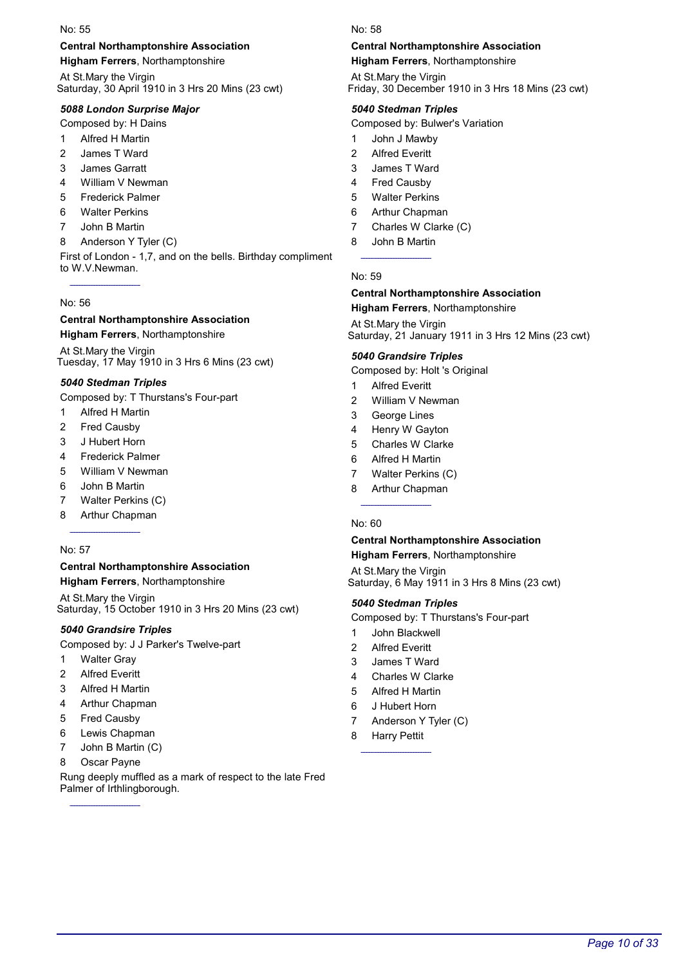### Central Northamptonshire Association

Higham Ferrers, Northamptonshire

At St.Mary the Virgin Saturday, 30 April 1910 in 3 Hrs 20 Mins (23 cwt)

### 5088 London Surprise Major

Composed by: H Dains

- 1 Alfred H Martin
- 2 James T Ward
- 3 James Garratt
- 4 William V Newman
- 5 Frederick Palmer
- 6 Walter Perkins
- 7 John B Martin
- 8 Anderson Y Tyler (C)

First of London - 1,7, and on the bells. Birthday compliment to W.V.Newman.

#### No: 56

#### Central Northamptonshire Association Higham Ferrers, Northamptonshire

At St.Mary the Virgin Tuesday, 17 May 1910 in 3 Hrs 6 Mins (23 cwt)

### 5040 Stedman Triples

Composed by: T Thurstans's Four-part

- 1 Alfred H Martin
- 2 Fred Causby
- 3 J Hubert Horn
- 4 Frederick Palmer
- 5 William V Newman
- 6 John B Martin
- 7 Walter Perkins (C)
- 8 Arthur Chapman

#### No: 57

### Central Northamptonshire Association

Higham Ferrers, Northamptonshire

At St.Mary the Virgin Saturday, 15 October 1910 in 3 Hrs 20 Mins (23 cwt)

### 5040 Grandsire Triples

Composed by: J J Parker's Twelve-part

- 1 Walter Gray
- 2 Alfred Everitt
- 3 Alfred H Martin
- 4 Arthur Chapman
- 5 Fred Causby
- 6 Lewis Chapman
- 7 John B Martin (C)
- 8 Oscar Payne

Rung deeply muffled as a mark of respect to the late Fred Palmer of Irthlingborough.

#### No: 58

### Central Northamptonshire Association

Higham Ferrers, Northamptonshire

At St.Mary the Virgin Friday, 30 December 1910 in 3 Hrs 18 Mins (23 cwt)

#### 5040 Stedman Triples

Composed by: Bulwer's Variation

- 1 John J Mawby
- 2 Alfred Everitt
- 3 James T Ward
- 4 Fred Causby
- 5 Walter Perkins
- 6 Arthur Chapman
- 7 Charles W Clarke (C)
- 8 John B Martin

#### No: 59

#### Central Northamptonshire Association Higham Ferrers, Northamptonshire

At St.Mary the Virgin Saturday, 21 January 1911 in 3 Hrs 12 Mins (23 cwt)

#### 5040 Grandsire Triples

Composed by: Holt 's Original

- 1 Alfred Everitt
- 2 William V Newman
- 3 George Lines
- 4 Henry W Gayton
- 5 Charles W Clarke
- 6 Alfred H Martin
- 7 Walter Perkins (C)
- 8 Arthur Chapman

#### No: 60

#### Central Northamptonshire Association Higham Ferrers, Northamptonshire

At St.Mary the Virgin Saturday, 6 May 1911 in 3 Hrs 8 Mins (23 cwt)

### 5040 Stedman Triples

- Composed by: T Thurstans's Four-part
- 1 John Blackwell
- 2 Alfred Everitt
- 3 James T Ward
- 4 Charles W Clarke
- 5 Alfred H Martin
- 6 J Hubert Horn
- 7 Anderson Y Tyler (C)
- 8 Harry Pettit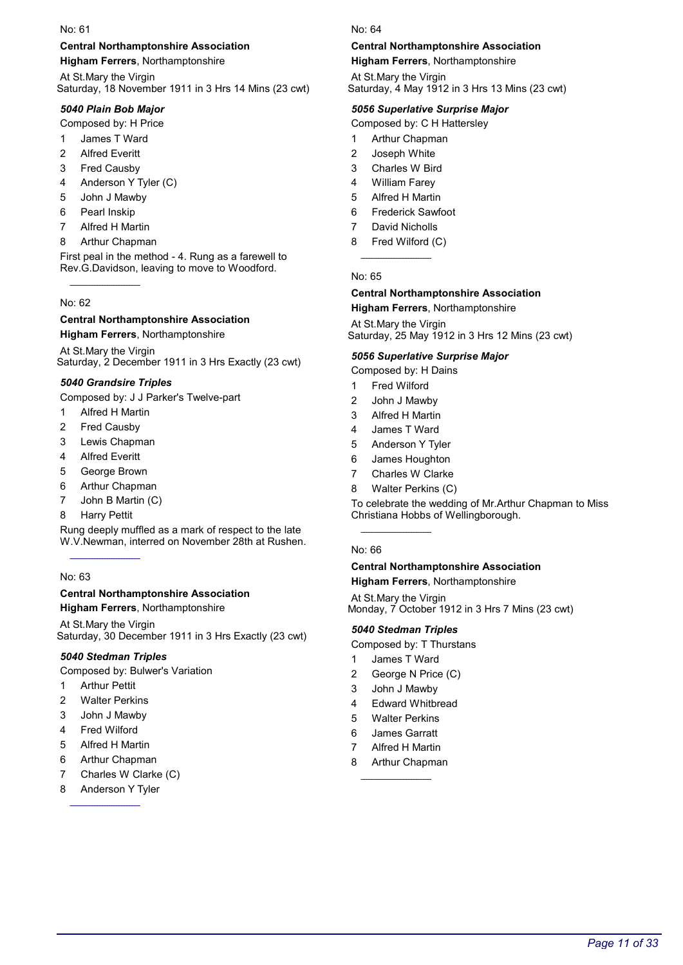### Central Northamptonshire Association

Higham Ferrers, Northamptonshire

At St.Mary the Virgin Saturday, 18 November 1911 in 3 Hrs 14 Mins (23 cwt)

### 5040 Plain Bob Major

Composed by: H Price

- 1 James T Ward
- 2 Alfred Everitt
- 3 Fred Causby
- 4 Anderson Y Tyler (C)
- 5 John J Mawby
- 6 Pearl Inskip
- 7 Alfred H Martin
- 8 Arthur Chapman

First peal in the method - 4. Rung as a farewell to Rev.G.Davidson, leaving to move to Woodford.

#### No: 62

#### Central Northamptonshire Association Higham Ferrers, Northamptonshire

At St.Mary the Virgin Saturday, 2 December 1911 in 3 Hrs Exactly (23 cwt)

### 5040 Grandsire Triples

Composed by: J J Parker's Twelve-part

- 1 Alfred H Martin
- 2 Fred Causby
- 3 Lewis Chapman
- 4 Alfred Everitt
- 5 George Brown
- 6 Arthur Chapman
- 7 John B Martin (C)
- 8 Harry Pettit

Rung deeply muffled as a mark of respect to the late W.V.Newman, interred on November 28th at Rushen.

### No: 63

### Central Northamptonshire Association

Higham Ferrers, Northamptonshire

At St.Mary the Virgin Saturday, 30 December 1911 in 3 Hrs Exactly (23 cwt)

### 5040 Stedman Triples

Composed by: Bulwer's Variation

- 1 Arthur Pettit
- 2 Walter Perkins
- 3 John J Mawby
- 4 Fred Wilford
- 5 Alfred H Martin
- 6 Arthur Chapman
- 7 Charles W Clarke (C)
- 8 Anderson Y Tyler

#### No: 64

### Central Northamptonshire Association

Higham Ferrers, Northamptonshire

At St.Mary the Virgin Saturday, 4 May 1912 in 3 Hrs 13 Mins (23 cwt)

### 5056 Superlative Surprise Major

Composed by: C H Hattersley

- 1 Arthur Chapman
- 2 Joseph White
- 3 Charles W Bird
- 4 William Farey
- 5 Alfred H Martin
- 6 Frederick Sawfoot
- 7 David Nicholls
- 8 Fred Wilford (C)

No: 65

#### Central Northamptonshire Association Higham Ferrers, Northamptonshire

At St.Mary the Virgin Saturday, 25 May 1912 in 3 Hrs 12 Mins (23 cwt)

#### 5056 Superlative Surprise Major

Composed by: H Dains

- 1 Fred Wilford
- 2 John J Mawby
- 3 Alfred H Martin
- 4 James T Ward
- 5 Anderson Y Tyler
- 6 James Houghton
- 7 Charles W Clarke
- 8 Walter Perkins (C)

To celebrate the wedding of Mr.Arthur Chapman to Miss Christiana Hobbs of Wellingborough.

#### No: 66

# Central Northamptonshire Association

Higham Ferrers, Northamptonshire

At St.Mary the Virgin Monday, 7 October 1912 in 3 Hrs 7 Mins (23 cwt)

### 5040 Stedman Triples

Composed by: T Thurstans

- 1 James T Ward
- 2 George N Price (C)
- 3 John J Mawby
- 4 Edward Whitbread
- 5 Walter Perkins
- 6 James Garratt
- Alfred H Martin
- 8 Arthur Chapman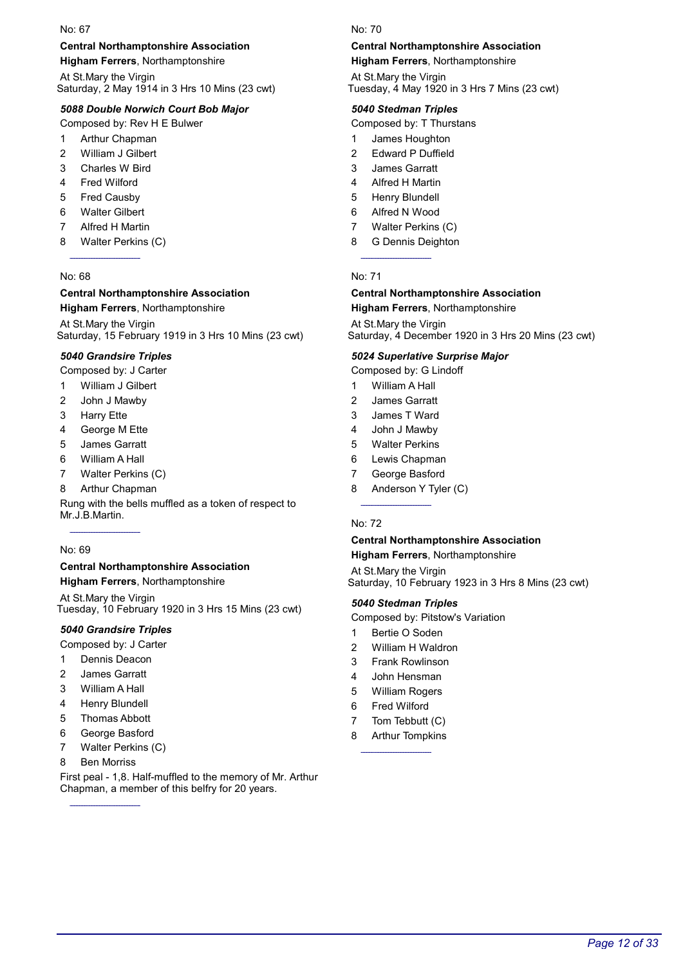#### Central Northamptonshire Association

Higham Ferrers, Northamptonshire

At St.Mary the Virgin Saturday, 2 May 1914 in 3 Hrs 10 Mins (23 cwt)

### 5088 Double Norwich Court Bob Major

Composed by: Rev H E Bulwer

- 1 Arthur Chapman
- 2 William J Gilbert
- 3 Charles W Bird
- 4 Fred Wilford
- 5 Fred Causby
- 6 Walter Gilbert
- 7 Alfred H Martin
- 8 Walter Perkins (C)

#### No: 68

#### Central Northamptonshire Association Higham Ferrers, Northamptonshire

At St.Mary the Virgin Saturday, 15 February 1919 in 3 Hrs 10 Mins (23 cwt)

#### 5040 Grandsire Triples

Composed by: J Carter

- 1 William J Gilbert
- 2 John J Mawby
- 3 Harry Ette
- 4 George M Ette
- 5 James Garratt
- 6 William A Hall
- 7 Walter Perkins (C)
- 8 Arthur Chapman

Rung with the bells muffled as a token of respect to Mr.J.B.Martin.

#### No: 69

### Central Northamptonshire Association

Higham Ferrers, Northamptonshire

At St.Mary the Virgin Tuesday, 10 February 1920 in 3 Hrs 15 Mins (23 cwt)

### 5040 Grandsire Triples

Composed by: J Carter

- 1 Dennis Deacon
- 2 James Garratt
- 3 William A Hall
- 4 Henry Blundell
- 5 Thomas Abbott
- 6 George Basford
- 7 Walter Perkins (C)
- 8 Ben Morriss

First peal - 1,8. Half-muffled to the memory of Mr. Arthur Chapman, a member of this belfry for 20 years.

#### No: 70

### Central Northamptonshire Association

Higham Ferrers, Northamptonshire

At St.Mary the Virgin Tuesday, 4 May 1920 in 3 Hrs 7 Mins (23 cwt)

#### 5040 Stedman Triples

Composed by: T Thurstans

- 1 James Houghton
- 2 Edward P Duffield
- 3 James Garratt
- 4 Alfred H Martin
- 5 Henry Blundell
- 6 Alfred N Wood
- 7 Walter Perkins (C)
- 8 G Dennis Deighton

#### No: 71

#### Central Northamptonshire Association Higham Ferrers, Northamptonshire

At St.Mary the Virgin

Saturday, 4 December 1920 in 3 Hrs 20 Mins (23 cwt)

#### 5024 Superlative Surprise Major

Composed by: G Lindoff

- 1 William A Hall
- 2 James Garratt
- 3 James T Ward
- 4 John J Mawby
- 5 Walter Perkins
- 6 Lewis Chapman
- 7 George Basford
- 8 Anderson Y Tyler (C)

#### No: 72

#### Central Northamptonshire Association Higham Ferrers, Northamptonshire

At St.Mary the Virgin

Saturday, 10 February 1923 in 3 Hrs 8 Mins (23 cwt)

### 5040 Stedman Triples

- Composed by: Pitstow's Variation
- 1 Bertie O Soden
- 2 William H Waldron
- 3 Frank Rowlinson
- 4 John Hensman
- 5 William Rogers
- 6 Fred Wilford
- 7 Tom Tebbutt (C)
- 8 Arthur Tompkins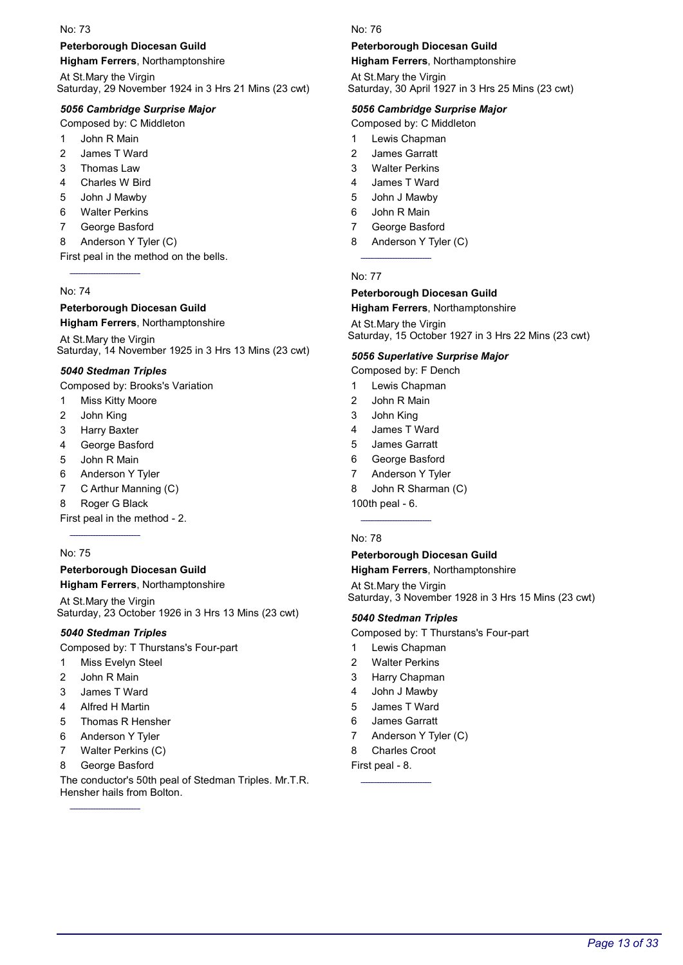### Peterborough Diocesan Guild

Higham Ferrers, Northamptonshire

At St.Mary the Virgin Saturday, 29 November 1924 in 3 Hrs 21 Mins (23 cwt)

### 5056 Cambridge Surprise Major

Composed by: C Middleton

- 1 John R Main
- 2 James T Ward
- 3 Thomas Law
- 4 Charles W Bird
- 5 John J Mawby
- 6 Walter Perkins
- 7 George Basford
- 8 Anderson Y Tyler (C)

First peal in the method on the bells.

#### No: 74

#### Peterborough Diocesan Guild

Higham Ferrers, Northamptonshire

At St.Mary the Virgin Saturday, 14 November 1925 in 3 Hrs 13 Mins (23 cwt)

#### 5040 Stedman Triples

Composed by: Brooks's Variation

- 1 Miss Kitty Moore
- 2 John King
- 3 Harry Baxter
- 4 George Basford
- 5 John R Main
- 6 Anderson Y Tyler
- 7 C Arthur Manning (C)
- 8 Roger G Black

First peal in the method - 2.

#### No: 75

#### Peterborough Diocesan Guild

Higham Ferrers, Northamptonshire

At St.Mary the Virgin Saturday, 23 October 1926 in 3 Hrs 13 Mins (23 cwt)

### 5040 Stedman Triples

Composed by: T Thurstans's Four-part

- 1 Miss Evelyn Steel
- 2 John R Main
- 3 James T Ward
- 4 Alfred H Martin
- 5 Thomas R Hensher
- 6 Anderson Y Tyler
- 7 Walter Perkins (C)
- 8 George Basford

The conductor's 50th peal of Stedman Triples. Mr.T.R. Hensher hails from Bolton.

#### No: 76

#### Peterborough Diocesan Guild

Higham Ferrers, Northamptonshire

At St.Mary the Virgin Saturday, 30 April 1927 in 3 Hrs 25 Mins (23 cwt)

#### 5056 Cambridge Surprise Major

Composed by: C Middleton

- 1 Lewis Chapman
- 2 James Garratt
- 3 Walter Perkins
- 4 James T Ward
- 5 John J Mawby
- 6 John R Main
- 7 George Basford
- 8 Anderson Y Tyler (C)

#### No: 77

# Peterborough Diocesan Guild

### Higham Ferrers, Northamptonshire

At St.Mary the Virgin Saturday, 15 October 1927 in 3 Hrs 22 Mins (23 cwt)

#### 5056 Superlative Surprise Major

Composed by: F Dench

- 1 Lewis Chapman
- 2 John R Main
- 3 John King
- 4 James T Ward
- 5 James Garratt
- 6 George Basford
- 7 Anderson Y Tyler
- 8 John R Sharman (C)

100th peal - 6.

#### No: 78

#### Peterborough Diocesan Guild Higham Ferrers, Northamptonshire

At St.Mary the Virgin Saturday, 3 November 1928 in 3 Hrs 15 Mins (23 cwt)

#### 5040 Stedman Triples

Composed by: T Thurstans's Four-part

- 1 Lewis Chapman
- 2 Walter Perkins
- 3 Harry Chapman
- 4 John J Mawby
- 5 James T Ward
- 6 James Garratt
- 7 Anderson Y Tyler (C)
- 8 Charles Croot

First peal - 8.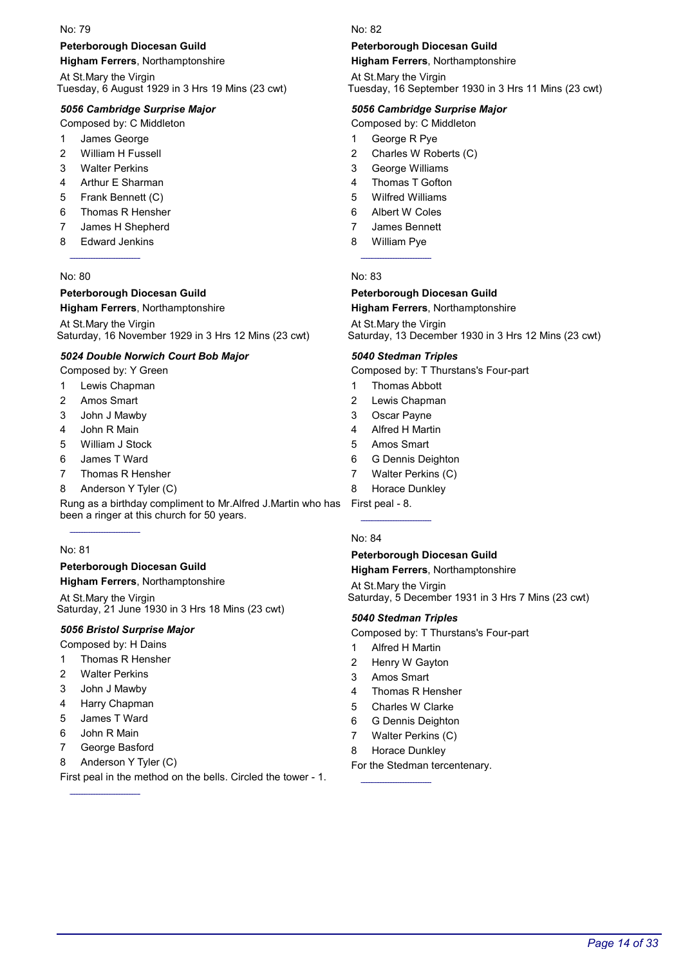#### Peterborough Diocesan Guild

Higham Ferrers, Northamptonshire

At St.Mary the Virgin Tuesday, 6 August 1929 in 3 Hrs 19 Mins (23 cwt)

#### 5056 Cambridge Surprise Major

Composed by: C Middleton

- 1 James George
- 2 William H Fussell
- 3 Walter Perkins
- 4 Arthur E Sharman
- 5 Frank Bennett (C)
- 6 Thomas R Hensher
- 7 James H Shepherd
- 8 Edward Jenkins

#### No: 80

### Peterborough Diocesan Guild

#### Higham Ferrers, Northamptonshire

At St.Mary the Virgin Saturday, 16 November 1929 in 3 Hrs 12 Mins (23 cwt)

#### 5024 Double Norwich Court Bob Major

Composed by: Y Green

- 1 Lewis Chapman
- 2 Amos Smart
- 3 John J Mawby
- 4 John R Main
- 5 William J Stock
- 6 James T Ward
- 7 Thomas R Hensher
- 8 Anderson Y Tyler (C)

Rung as a birthday compliment to Mr.Alfred J.Martin who has been a ringer at this church for 50 years.

#### No: 81

#### Peterborough Diocesan Guild

Higham Ferrers, Northamptonshire

At St.Mary the Virgin Saturday, 21 June 1930 in 3 Hrs 18 Mins (23 cwt)

#### 5056 Bristol Surprise Major

Composed by: H Dains

- 1 Thomas R Hensher
- 2 Walter Perkins
- 3 John J Mawby
- 4 Harry Chapman
- 5 James T Ward
- 6 John R Main
- 7 George Basford
- 8 Anderson Y Tyler (C)

First peal in the method on the bells. Circled the tower - 1.

#### No: 82

#### Peterborough Diocesan Guild

Higham Ferrers, Northamptonshire

At St.Mary the Virgin Tuesday, 16 September 1930 in 3 Hrs 11 Mins (23 cwt)

#### 5056 Cambridge Surprise Major

Composed by: C Middleton

- 1 George R Pye
- 2 Charles W Roberts (C)
- 3 George Williams
- 4 Thomas T Gofton
- 5 Wilfred Williams
- 6 Albert W Coles
- 7 James Bennett
- 8 William Pye

#### No: 83

### Peterborough Diocesan Guild

### Higham Ferrers, Northamptonshire

At St.Mary the Virgin Saturday, 13 December 1930 in 3 Hrs 12 Mins (23 cwt)

#### 5040 Stedman Triples

Composed by: T Thurstans's Four-part

- 1 Thomas Abbott
- 2 Lewis Chapman
- 3 Oscar Payne
- 4 Alfred H Martin
- 5 Amos Smart
- 6 G Dennis Deighton
- 7 Walter Perkins (C)
- 8 Horace Dunkley

First peal - 8.

#### No: 84

#### Peterborough Diocesan Guild Higham Ferrers, Northamptonshire

At St.Mary the Virgin Saturday, 5 December 1931 in 3 Hrs 7 Mins (23 cwt)

#### 5040 Stedman Triples

Composed by: T Thurstans's Four-part

- 1 Alfred H Martin
- 2 Henry W Gayton
- 3 Amos Smart
- 4 Thomas R Hensher
- 5 Charles W Clarke
- 6 G Dennis Deighton
- 7 Walter Perkins (C)
- 8 Horace Dunkley

For the Stedman tercentenary.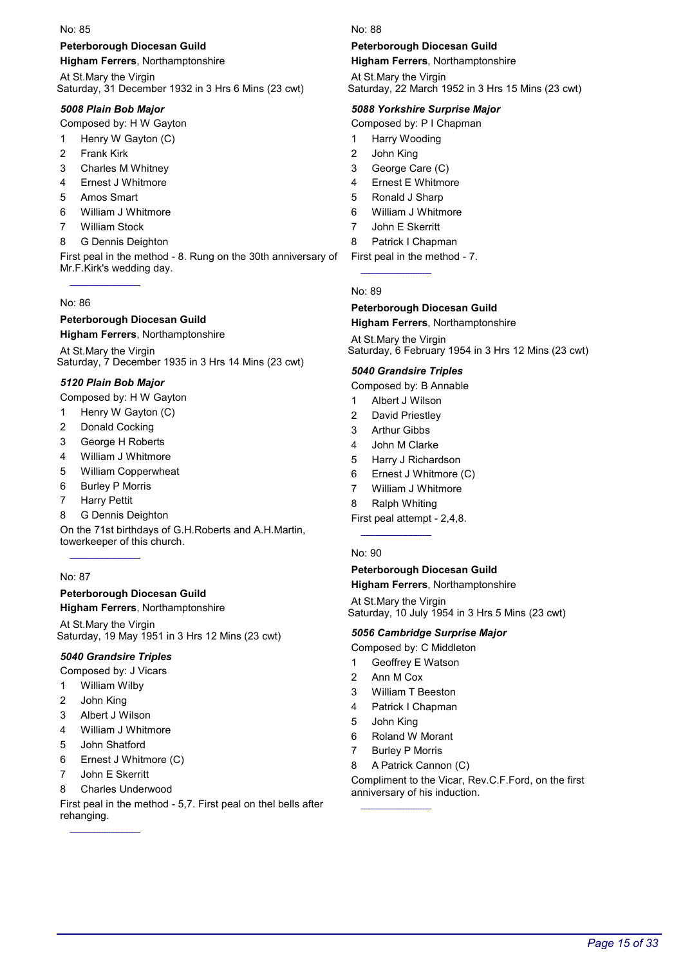### Peterborough Diocesan Guild

Higham Ferrers, Northamptonshire

At St.Mary the Virgin Saturday, 31 December 1932 in 3 Hrs 6 Mins (23 cwt)

### 5008 Plain Bob Major

Composed by: H W Gayton

- 1 Henry W Gayton (C)
- 2 Frank Kirk
- 3 Charles M Whitney
- 4 Ernest J Whitmore
- 5 Amos Smart
- 6 William J Whitmore
- 7 William Stock
- 8 G Dennis Deighton

First peal in the method - 8. Rung on the 30th anniversary of Mr.F.Kirk's wedding day.

#### No: 86

#### Peterborough Diocesan Guild Higham Ferrers, Northamptonshire

At St.Mary the Virgin Saturday, 7 December 1935 in 3 Hrs 14 Mins (23 cwt)

### 5120 Plain Bob Major

- Composed by: H W Gayton
- 1 Henry W Gayton (C)
- 2 Donald Cocking
- 3 George H Roberts
- 4 William J Whitmore
- 5 William Copperwheat
- 6 Burley P Morris
- 7 Harry Pettit
- 8 G Dennis Deighton

On the 71st birthdays of G.H.Roberts and A.H.Martin, towerkeeper of this church.

### No: 87

### Peterborough Diocesan Guild

Higham Ferrers, Northamptonshire

At St.Mary the Virgin Saturday, 19 May 1951 in 3 Hrs 12 Mins (23 cwt)

### 5040 Grandsire Triples

Composed by: J Vicars

- 1 William Wilby
- 2 John King
- 3 Albert J Wilson
- 4 William J Whitmore
- 5 John Shatford
- 6 Ernest J Whitmore (C)
- 7 John E Skerritt
- 8 Charles Underwood

First peal in the method - 5,7. First peal on thel bells after rehanging.

No: 88

### Peterborough Diocesan Guild

Higham Ferrers, Northamptonshire

At St.Mary the Virgin Saturday, 22 March 1952 in 3 Hrs 15 Mins (23 cwt)

### 5088 Yorkshire Surprise Major

Composed by: P I Chapman

- 1 Harry Wooding
- 2 John King
- 3 George Care (C)
- 4 Ernest E Whitmore
- 5 Ronald J Sharp
- 6 William J Whitmore
- 7 John E Skerritt
- 8 Patrick I Chapman
- First peal in the method 7.

No: 89

### Peterborough Diocesan Guild

Higham Ferrers, Northamptonshire

At St.Mary the Virgin Saturday, 6 February 1954 in 3 Hrs 12 Mins (23 cwt)

#### 5040 Grandsire Triples

Composed by: B Annable

- 1 Albert J Wilson
- 2 David Priestley
- 3 Arthur Gibbs
- 4 John M Clarke
- 5 Harry J Richardson
- 6 Ernest J Whitmore (C)
- 7 William J Whitmore
- 8 Ralph Whiting
- First peal attempt 2,4,8.

#### No: 90

#### Peterborough Diocesan Guild

Higham Ferrers, Northamptonshire

At St.Mary the Virgin Saturday, 10 July 1954 in 3 Hrs 5 Mins (23 cwt)

#### 5056 Cambridge Surprise Major

Composed by: C Middleton

- 1 Geoffrey E Watson
- 2 Ann M Cox
- 3 William T Beeston
- 4 Patrick I Chapman
- 5 John King
- 6 Roland W Morant
- 7 Burley P Morris
- 8 A Patrick Cannon (C)

Compliment to the Vicar, Rev.C.F.Ford, on the first anniversary of his induction.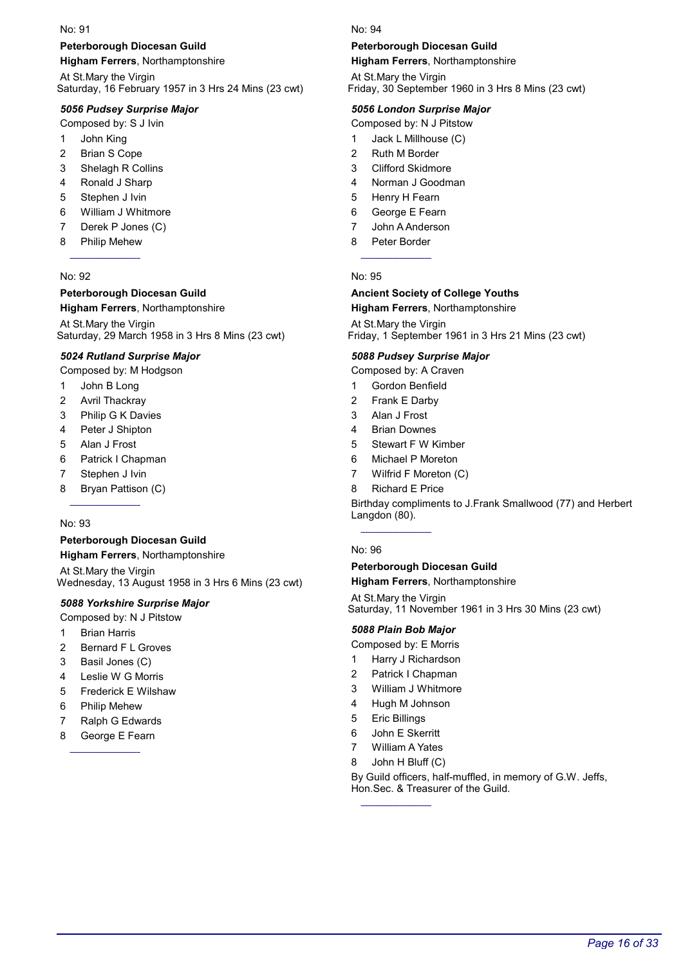### Peterborough Diocesan Guild

Higham Ferrers, Northamptonshire

At St.Mary the Virgin Saturday, 16 February 1957 in 3 Hrs 24 Mins (23 cwt)

### 5056 Pudsey Surprise Major

Composed by: S J Ivin

- 1 John King
- 2 Brian S Cope
- 3 Shelagh R Collins
- 4 Ronald J Sharp
- 5 Stephen J Ivin
- 6 William J Whitmore
- 7 Derek P Jones (C)
- 8 Philip Mehew

#### No: 92

# Peterborough Diocesan Guild

Higham Ferrers, Northamptonshire At St.Mary the Virgin

Saturday, 29 March 1958 in 3 Hrs 8 Mins (23 cwt)

### 5024 Rutland Surprise Major

Composed by: M Hodgson

- 1 John B Long
- 2 Avril Thackray
- 3 Philip G K Davies
- 4 Peter J Shipton
- 5 Alan J Frost
- 6 Patrick I Chapman
- 7 Stephen J Ivin
- 8 Bryan Pattison (C)

#### No: 93

#### Peterborough Diocesan Guild Higham Ferrers, Northamptonshire

At St.Mary the Virgin Wednesday, 13 August 1958 in 3 Hrs 6 Mins (23 cwt)

#### 5088 Yorkshire Surprise Major

- Composed by: N J Pitstow
- 1 Brian Harris
- 2 Bernard F L Groves
- 3 Basil Jones (C)
- 4 Leslie W G Morris
- 5 Frederick E Wilshaw
- 6 Philip Mehew
- 7 Ralph G Edwards
- 8 George E Fearn

#### No: 94

#### Peterborough Diocesan Guild

Higham Ferrers, Northamptonshire

At St.Mary the Virgin Friday, 30 September 1960 in 3 Hrs 8 Mins (23 cwt)

#### 5056 London Surprise Major

Composed by: N J Pitstow

- 1 Jack L Millhouse (C)
- 2 Ruth M Border
- 3 Clifford Skidmore
- 4 Norman J Goodman
- 5 Henry H Fearn
- 6 George E Fearn
- 7 John A Anderson
- 8 Peter Border

#### No: 95

#### Ancient Society of College Youths Higham Ferrers, Northamptonshire

At St.Mary the Virgin Friday, 1 September 1961 in 3 Hrs 21 Mins (23 cwt)

#### 5088 Pudsey Surprise Major

Composed by: A Craven

- 1 Gordon Benfield
- 2 Frank E Darby
- 3 Alan J Frost
- 4 Brian Downes
- 5 Stewart F W Kimber
- 6 Michael P Moreton
- 7 Wilfrid F Moreton (C)
- 8 Richard E Price

Birthday compliments to J.Frank Smallwood (77) and Herbert Langdon (80).

#### No: 96

### Peterborough Diocesan Guild

Higham Ferrers, Northamptonshire

At St.Mary the Virgin Saturday, 11 November 1961 in 3 Hrs 30 Mins (23 cwt)

#### 5088 Plain Bob Major

Composed by: E Morris

- 1 Harry J Richardson
- 2 Patrick I Chapman
- 3 William J Whitmore
- 4 Hugh M Johnson
- 5 Eric Billings
- 6 John E Skerritt
- 7 William A Yates
- 8 John H Bluff (C)

By Guild officers, half-muffled, in memory of G.W. Jeffs, Hon.Sec. & Treasurer of the Guild.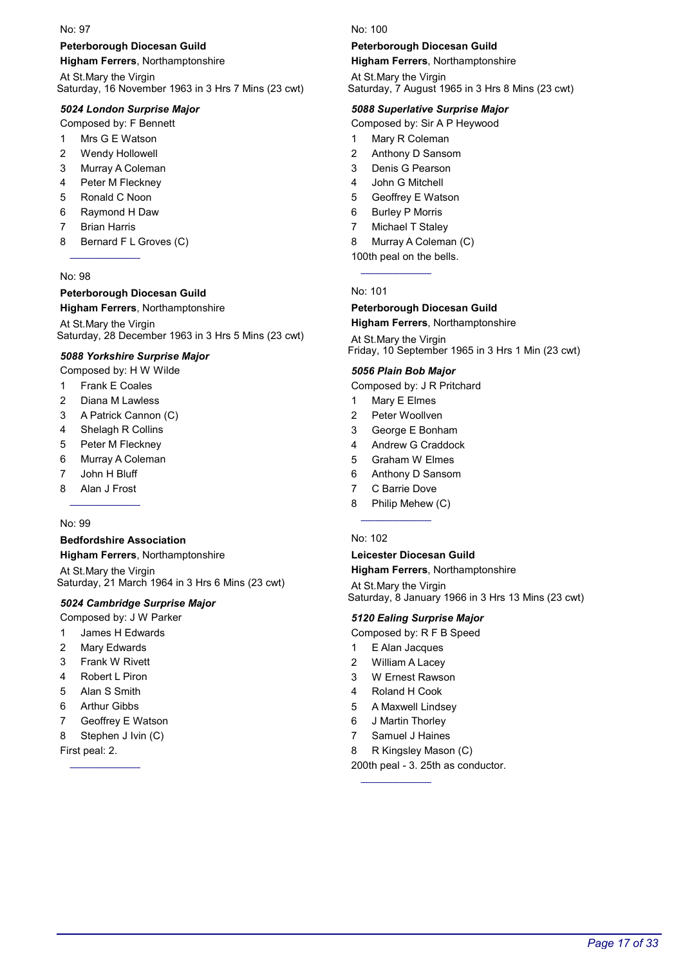#### Peterborough Diocesan Guild

Higham Ferrers, Northamptonshire

At St.Mary the Virgin Saturday, 16 November 1963 in 3 Hrs 7 Mins (23 cwt)

#### 5024 London Surprise Major

Composed by: F Bennett

- 1 Mrs G E Watson
- 2 Wendy Hollowell
- 3 Murray A Coleman
- 4 Peter M Fleckney
- 5 Ronald C Noon
- 6 Raymond H Daw
- 7 Brian Harris
- 8 Bernard F L Groves (C)

#### No: 98

### Peterborough Diocesan Guild

#### Higham Ferrers, Northamptonshire

At St.Mary the Virgin Saturday, 28 December 1963 in 3 Hrs 5 Mins (23 cwt)

#### 5088 Yorkshire Surprise Major

Composed by: H W Wilde

- 1 Frank E Coales
- 2 Diana M Lawless
- 3 A Patrick Cannon (C)
- 4 Shelagh R Collins
- 5 Peter M Fleckney
- 6 Murray A Coleman
- 7 John H Bluff
- 8 Alan J Frost

#### No: 99

### Bedfordshire Association

Higham Ferrers, Northamptonshire At St.Mary the Virgin Saturday, 21 March 1964 in 3 Hrs 6 Mins (23 cwt)

#### 5024 Cambridge Surprise Major

- Composed by: J W Parker
- 1 James H Edwards
- 2 Mary Edwards
- 3 Frank W Rivett
- 4 Robert L Piron
- 5 Alan S Smith
- 6 Arthur Gibbs
- 7 Geoffrey E Watson
- 8 Stephen J Ivin (C)

First peal: 2.

 $N<sub>0</sub>$ : 100

#### Peterborough Diocesan Guild

Higham Ferrers, Northamptonshire

At St.Mary the Virgin Saturday, 7 August 1965 in 3 Hrs 8 Mins (23 cwt)

#### 5088 Superlative Surprise Major

Composed by: Sir A P Heywood

- 1 Mary R Coleman
- 2 Anthony D Sansom
- 3 Denis G Pearson
- 4 John G Mitchell
- 5 Geoffrey E Watson
- 6 Burley P Morris
- 7 Michael T Staley

#### 8 Murray A Coleman (C)

100th peal on the bells.

#### No: 101

#### Peterborough Diocesan Guild

Higham Ferrers, Northamptonshire

At St.Mary the Virgin Friday, 10 September 1965 in 3 Hrs 1 Min (23 cwt)

#### 5056 Plain Bob Major

Composed by: J R Pritchard

- 1 Mary E Elmes
- 2 Peter Woollven
- 3 George E Bonham
- 4 Andrew G Craddock
- 5 Graham W Elmes
- 6 Anthony D Sansom
- 7 C Barrie Dove
- 8 Philip Mehew (C)

#### No: 102

### Leicester Diocesan Guild

Higham Ferrers, Northamptonshire

At St.Mary the Virgin Saturday, 8 January 1966 in 3 Hrs 13 Mins (23 cwt)

#### 5120 Ealing Surprise Major

Composed by: R F B Speed

- 1 E Alan Jacques
- 2 William A Lacey
- 3 W Ernest Rawson
- 4 Roland H Cook
- 5 A Maxwell Lindsey
- 6 J Martin Thorley
- 7 Samuel J Haines
- 8 R Kingsley Mason (C)

200th peal - 3. 25th as conductor.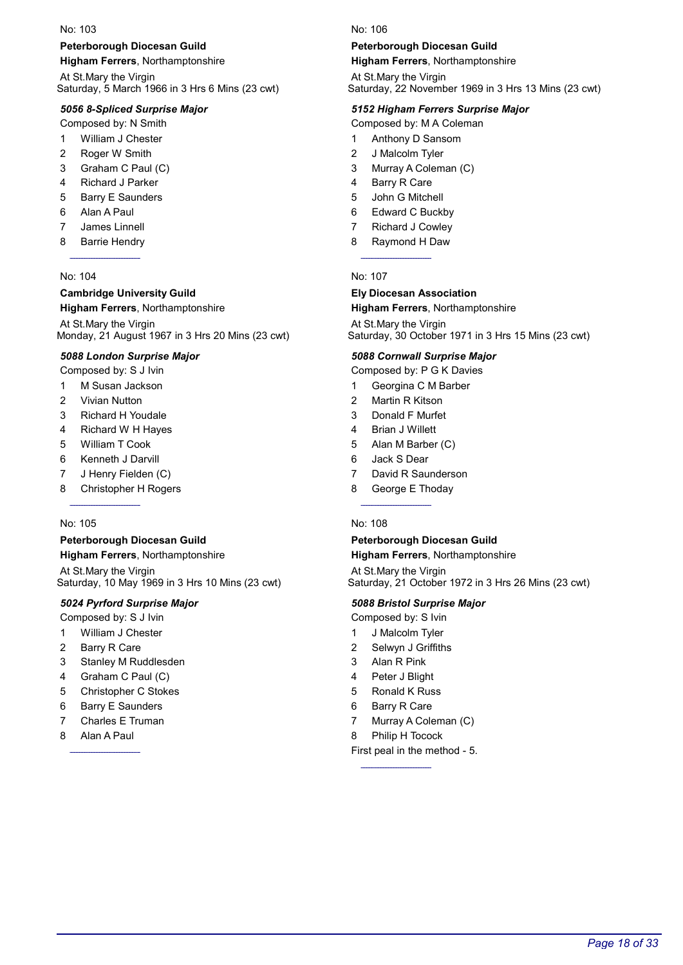### Peterborough Diocesan Guild

Higham Ferrers, Northamptonshire

At St.Mary the Virgin Saturday, 5 March 1966 in 3 Hrs 6 Mins (23 cwt)

#### 5056 8-Spliced Surprise Major

Composed by: N Smith

- 1 William J Chester
- 2 Roger W Smith
- 3 Graham C Paul (C)
- 4 Richard J Parker
- 5 Barry E Saunders
- 6 Alan A Paul
- 7 James Linnell
- 8 Barrie Hendry

#### No: 104

#### Cambridge University Guild Higham Ferrers, Northamptonshire

At St.Mary the Virgin Monday, 21 August 1967 in 3 Hrs 20 Mins (23 cwt)

#### 5088 London Surprise Major

Composed by: S J Ivin

- 1 M Susan Jackson
- 2 Vivian Nutton
- 3 Richard H Youdale
- 4 Richard W H Hayes
- 5 William T Cook
- 6 Kenneth J Darvill
- 7 J Henry Fielden (C)
- 8 Christopher H Rogers

#### No: 105

#### Peterborough Diocesan Guild Higham Ferrers, Northamptonshire

At St.Mary the Virgin Saturday, 10 May 1969 in 3 Hrs 10 Mins (23 cwt)

#### 5024 Pyrford Surprise Major

- Composed by: S J Ivin
- 1 William J Chester
- 2 Barry R Care
- 3 Stanley M Ruddlesden
- 4 Graham C Paul (C)
- 5 Christopher C Stokes
- 6 Barry E Saunders
- 7 Charles E Truman
- 8 Alan A Paul

No: 106

#### Peterborough Diocesan Guild

Higham Ferrers, Northamptonshire

At St.Mary the Virgin Saturday, 22 November 1969 in 3 Hrs 13 Mins (23 cwt)

#### 5152 Higham Ferrers Surprise Major

Composed by: M A Coleman

- 1 Anthony D Sansom
- 2 J Malcolm Tyler
- 3 Murray A Coleman (C)
- 4 Barry R Care
- 5 John G Mitchell
- 6 Edward C Buckby
- 7 Richard J Cowley
- 8 Raymond H Daw

#### No: 107

#### Ely Diocesan Association Higham Ferrers, Northamptonshire

At St.Mary the Virgin Saturday, 30 October 1971 in 3 Hrs 15 Mins (23 cwt)

#### 5088 Cornwall Surprise Major

Composed by: P G K Davies

- 1 Georgina C M Barber
- 2 Martin R Kitson
- 3 Donald F Murfet
- 4 Brian J Willett
- 5 Alan M Barber (C)
- 6 Jack S Dear
- 7 David R Saunderson
- 8 George E Thoday

#### No: 108

### Peterborough Diocesan Guild

Higham Ferrers, Northamptonshire

At St.Mary the Virgin Saturday, 21 October 1972 in 3 Hrs 26 Mins (23 cwt)

#### 5088 Bristol Surprise Major

- Composed by: S Ivin
- 1 J Malcolm Tyler
- 2 Selwyn J Griffiths
- 3 Alan R Pink
- 4 Peter J Blight
- 5 Ronald K Russ
- 6 Barry R Care
- 7 Murray A Coleman (C)
- 8 Philip H Tocock

First peal in the method - 5.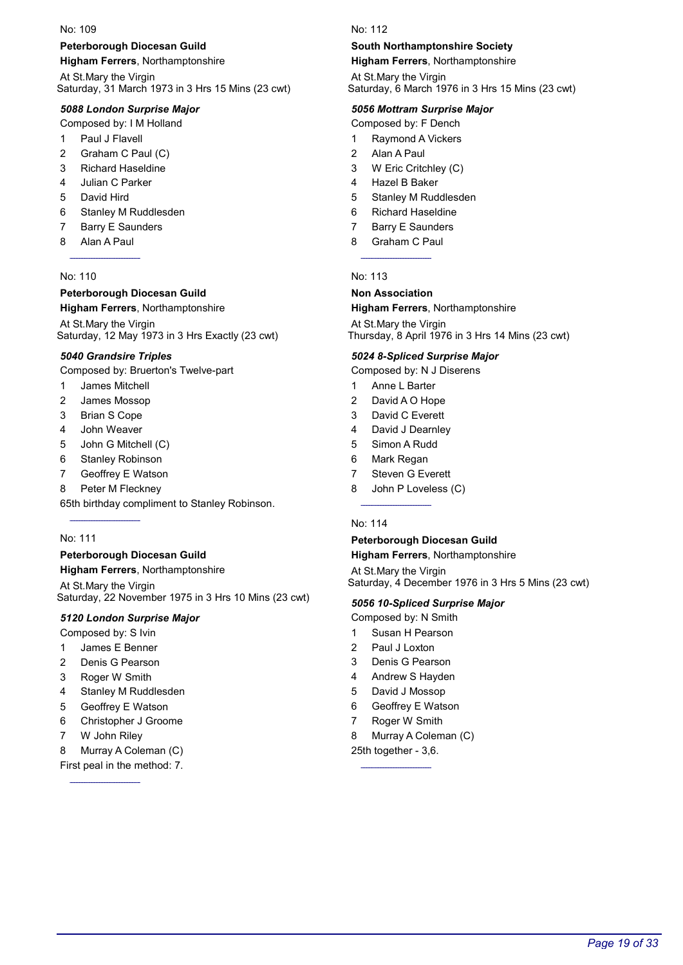### Peterborough Diocesan Guild

Higham Ferrers, Northamptonshire

At St.Mary the Virgin Saturday, 31 March 1973 in 3 Hrs 15 Mins (23 cwt)

#### 5088 London Surprise Major

Composed by: I M Holland

- 1 Paul J Flavell
- 2 Graham C Paul (C)
- 3 Richard Haseldine
- 4 Julian C Parker
- 5 David Hird
- 6 Stanley M Ruddlesden
- 7 Barry E Saunders
- 8 Alan A Paul

#### No: 110

#### Peterborough Diocesan Guild

#### Higham Ferrers, Northamptonshire

At St.Mary the Virgin Saturday, 12 May 1973 in 3 Hrs Exactly (23 cwt)

#### 5040 Grandsire Triples

Composed by: Bruerton's Twelve-part

- 1 James Mitchell
- 2 James Mossop
- 3 Brian S Cope
- 4 John Weaver
- 5 John G Mitchell (C)
- 6 Stanley Robinson
- 7 Geoffrey E Watson
- 8 Peter M Fleckney

65th birthday compliment to Stanley Robinson.

#### No: 111

### Peterborough Diocesan Guild

Higham Ferrers, Northamptonshire

At St.Mary the Virgin Saturday, 22 November 1975 in 3 Hrs 10 Mins (23 cwt)

#### 5120 London Surprise Major

Composed by: S Ivin

- 1 James E Benner
- 2 Denis G Pearson
- 3 Roger W Smith
- 4 Stanley M Ruddlesden
- 5 Geoffrey E Watson
- 6 Christopher J Groome
- 7 W John Riley
- 8 Murray A Coleman (C)
- First peal in the method: 7.

#### No: 112

### South Northamptonshire Society

Higham Ferrers, Northamptonshire

At St.Mary the Virgin Saturday, 6 March 1976 in 3 Hrs 15 Mins (23 cwt)

#### 5056 Mottram Surprise Major

Composed by: F Dench

- 1 Raymond A Vickers
- 2 Alan A Paul
- 3 W Eric Critchley (C)
- 4 Hazel B Baker
- 5 Stanley M Ruddlesden
- 6 Richard Haseldine
- 7 Barry E Saunders
- 8 Graham C Paul

#### No: 113

#### Non Association

#### Higham Ferrers, Northamptonshire

At St.Mary the Virgin Thursday, 8 April 1976 in 3 Hrs 14 Mins (23 cwt)

#### 5024 8-Spliced Surprise Major

Composed by: N J Diserens

- 1 Anne L Barter
- 2 David A O Hope
- 3 David C Everett
- 4 David J Dearnley
- 5 Simon A Rudd
- 6 Mark Regan
- 7 Steven G Everett
- 8 John P Loveless (C)

#### No: 114

### Peterborough Diocesan Guild

Higham Ferrers, Northamptonshire

At St.Mary the Virgin Saturday, 4 December 1976 in 3 Hrs 5 Mins (23 cwt)

#### 5056 10-Spliced Surprise Major

- Composed by: N Smith
- 1 Susan H Pearson
- 2 Paul J Loxton
- 3 Denis G Pearson
- 4 Andrew S Hayden
- 5 David J Mossop
- 6 Geoffrey E Watson
- 7 Roger W Smith
- 8 Murray A Coleman (C)

25th together - 3,6.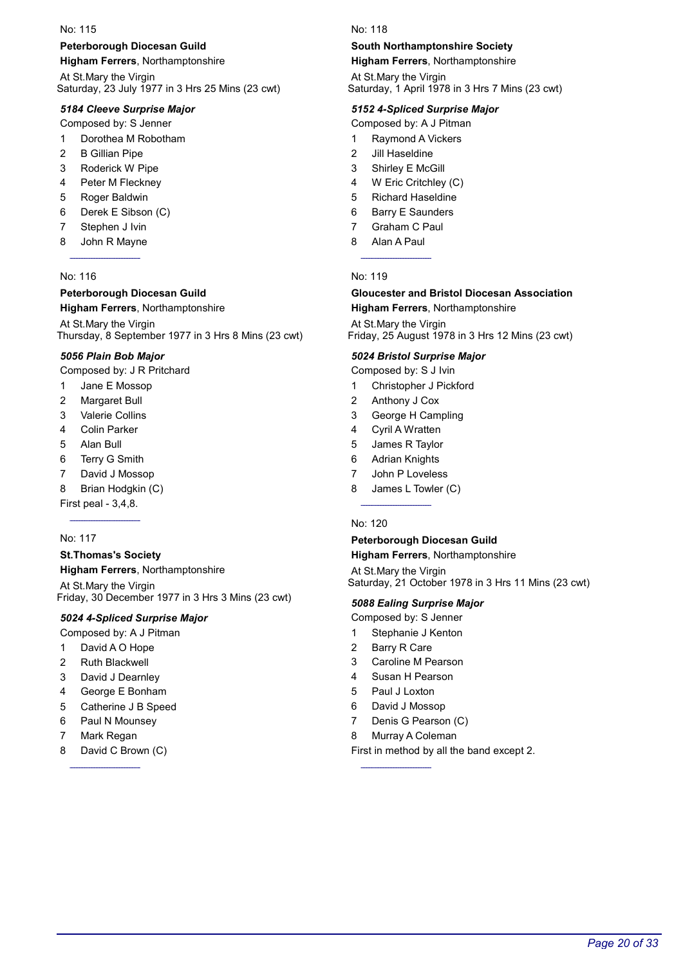### Peterborough Diocesan Guild

Higham Ferrers, Northamptonshire

At St.Mary the Virgin Saturday, 23 July 1977 in 3 Hrs 25 Mins (23 cwt)

### 5184 Cleeve Surprise Major

Composed by: S Jenner

- 1 Dorothea M Robotham
- 2 B Gillian Pipe
- 3 Roderick W Pipe
- 4 Peter M Fleckney
- 5 Roger Baldwin
- 6 Derek E Sibson (C)
- 7 Stephen J Ivin
- 8 John R Mayne

### No: 116

#### Peterborough Diocesan Guild Higham Ferrers, Northamptonshire

At St.Mary the Virgin Thursday, 8 September 1977 in 3 Hrs 8 Mins (23 cwt)

### 5056 Plain Bob Major

Composed by: J R Pritchard

- 1 Jane E Mossop
- 2 Margaret Bull
- 3 Valerie Collins
- 4 Colin Parker
- 5 Alan Bull
- 6 Terry G Smith
- 7 David J Mossop
- 8 Brian Hodgkin (C)

First peal - 3,4,8.

### No: 117

### St.Thomas's Society Higham Ferrers, Northamptonshire

At St.Mary the Virgin Friday, 30 December 1977 in 3 Hrs 3 Mins (23 cwt)

### 5024 4-Spliced Surprise Major

Composed by: A J Pitman

- 1 David A O Hope
- 2 Ruth Blackwell
- 3 David J Dearnley
- 4 George E Bonham
- 5 Catherine J B Speed
- 6 Paul N Mounsey
- 7 Mark Regan
- 8 David C Brown (C)

#### No: 118

### South Northamptonshire Society

Higham Ferrers, Northamptonshire

At St.Mary the Virgin Saturday, 1 April 1978 in 3 Hrs 7 Mins (23 cwt)

### 5152 4-Spliced Surprise Major

Composed by: A J Pitman

- 1 Raymond A Vickers
- 2 Jill Haseldine
- 3 Shirley E McGill
- 4 W Eric Critchley (C)
- 5 Richard Haseldine
- 6 Barry E Saunders
- 7 Graham C Paul
- 8 Alan A Paul

### No: 119

#### Gloucester and Bristol Diocesan Association Higham Ferrers, Northamptonshire

At St.Mary the Virgin Friday, 25 August 1978 in 3 Hrs 12 Mins (23 cwt)

### 5024 Bristol Surprise Major

Composed by: S J Ivin

- 1 Christopher J Pickford
- 2 Anthony J Cox
- 3 George H Campling
- 4 Cyril A Wratten
- 5 James R Taylor
- 6 Adrian Knights
- 7 John P Loveless
- 8 James L Towler (C)

#### No: 120

### Peterborough Diocesan Guild

Higham Ferrers, Northamptonshire

At St.Mary the Virgin Saturday, 21 October 1978 in 3 Hrs 11 Mins (23 cwt)

### 5088 Ealing Surprise Major

- Composed by: S Jenner
- 1 Stephanie J Kenton
- 2 Barry R Care
- 3 Caroline M Pearson
- 4 Susan H Pearson
- 5 Paul J Loxton
- 6 David J Mossop
- 7 Denis G Pearson (C)
- 8 Murray A Coleman

First in method by all the band except 2.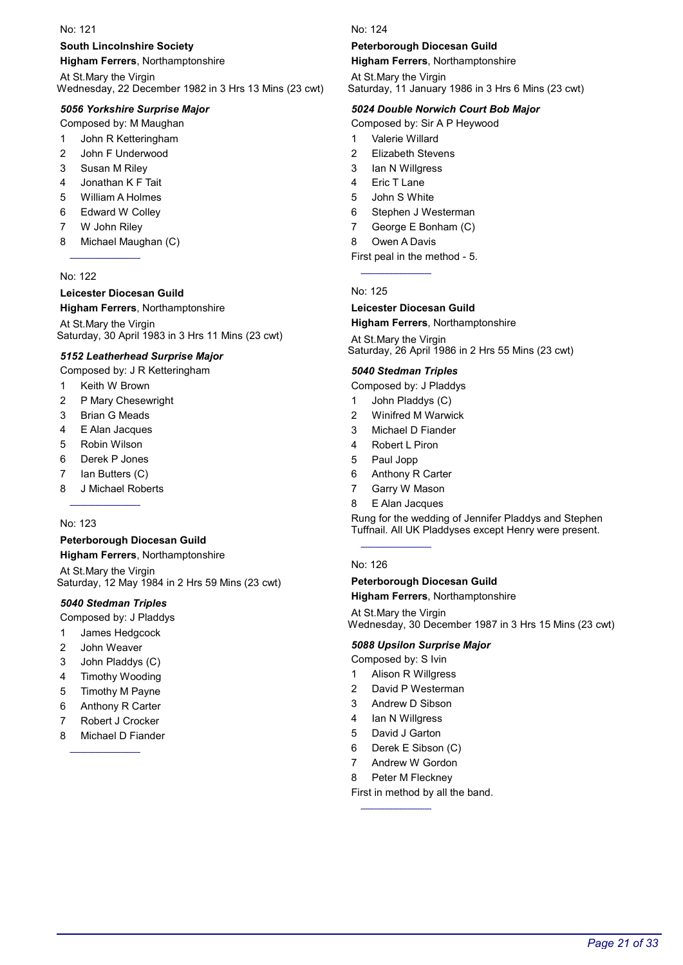### South Lincolnshire Society

Higham Ferrers, Northamptonshire

At St.Mary the Virgin Wednesday, 22 December 1982 in 3 Hrs 13 Mins (23 cwt)

### 5056 Yorkshire Surprise Major

Composed by: M Maughan

- 1 John R Ketteringham
- 2 John F Underwood
- 3 Susan M Riley
- 4 Jonathan K F Tait
- 5 William A Holmes
- 6 Edward W Colley
- 7 W John Riley
- 8 Michael Maughan (C)

#### No: 122

#### Leicester Diocesan Guild

#### Higham Ferrers, Northamptonshire

At St.Mary the Virgin Saturday, 30 April 1983 in 3 Hrs 11 Mins (23 cwt)

#### 5152 Leatherhead Surprise Major

Composed by: J R Ketteringham

- 1 Keith W Brown
- 2 P Mary Chesewright
- 3 Brian G Meads
- 4 E Alan Jacques
- 5 Robin Wilson
- 6 Derek P Jones
- 7 Ian Butters (C)
- 8 J Michael Roberts

#### No: 123

#### Peterborough Diocesan Guild Higham Ferrers, Northamptonshire

At St.Mary the Virgin Saturday, 12 May 1984 in 2 Hrs 59 Mins (23 cwt)

### 5040 Stedman Triples

- Composed by: J Pladdys
- 1 James Hedgcock
- 2 John Weaver
- 3 John Pladdys (C)
- 4 Timothy Wooding
- 5 Timothy M Payne
- 6 Anthony R Carter
- 7 Robert J Crocker
- 8 Michael D Fiander

#### No: 124

#### Peterborough Diocesan Guild

Higham Ferrers, Northamptonshire

At St.Mary the Virgin Saturday, 11 January 1986 in 3 Hrs 6 Mins (23 cwt)

#### 5024 Double Norwich Court Bob Major

Composed by: Sir A P Heywood

- 1 Valerie Willard
- 2 Elizabeth Stevens
- 3 Ian N Willgress
- 4 Eric T Lane
- 5 John S White
- 6 Stephen J Westerman
- 7 George E Bonham (C)
- 8 Owen A Davis

#### First peal in the method - 5.

#### No: 125

#### Leicester Diocesan Guild

Higham Ferrers, Northamptonshire

At St.Mary the Virgin Saturday, 26 April 1986 in 2 Hrs 55 Mins (23 cwt)

#### 5040 Stedman Triples

Composed by: J Pladdys

- 1 John Pladdys (C)
- 2 Winifred M Warwick
- 3 Michael D Fiander
- 4 Robert L Piron
- 5 Paul Jopp
- 6 Anthony R Carter
- 7 Garry W Mason
- 8 E Alan Jacques

Rung for the wedding of Jennifer Pladdys and Stephen Tuffnail. All UK Pladdyses except Henry were present.

### No: 126

#### Peterborough Diocesan Guild Higham Ferrers, Northamptonshire

At St.Mary the Virgin Wednesday, 30 December 1987 in 3 Hrs 15 Mins (23 cwt)

### 5088 Upsilon Surprise Major

Composed by: S Ivin

- 1 Alison R Willgress
- 2 David P Westerman
- 3 Andrew D Sibson
- 4 Ian N Willgress
- 5 David J Garton
- 6 Derek E Sibson (C)
- 7 Andrew W Gordon
- 8 Peter M Fleckney

First in method by all the band.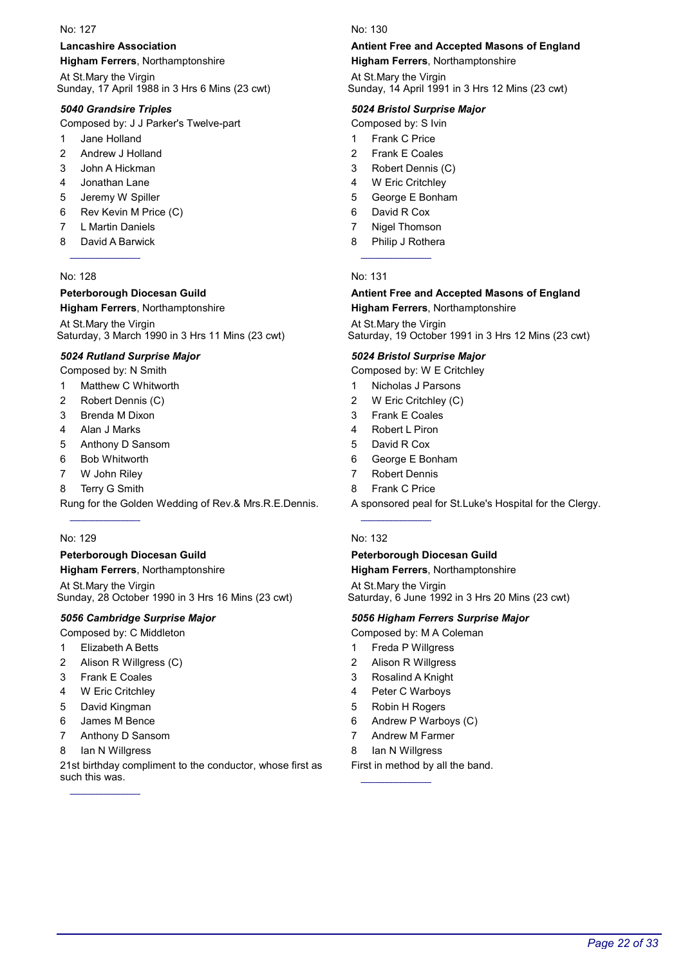### Lancashire Association

Higham Ferrers, Northamptonshire

At St.Mary the Virgin Sunday, 17 April 1988 in 3 Hrs 6 Mins (23 cwt)

### 5040 Grandsire Triples

Composed by: J J Parker's Twelve-part

- 1 Jane Holland
- 2 Andrew J Holland
- 3 John A Hickman
- 4 Jonathan Lane
- 5 Jeremy W Spiller
- 6 Rev Kevin M Price (C)
- 7 L Martin Daniels
- 8 David A Barwick

### No: 128

### Peterborough Diocesan Guild

### Higham Ferrers, Northamptonshire

At St.Mary the Virgin Saturday, 3 March 1990 in 3 Hrs 11 Mins (23 cwt)

### 5024 Rutland Surprise Major

Composed by: N Smith

- 1 Matthew C Whitworth
- 2 Robert Dennis (C)
- 3 Brenda M Dixon
- 4 Alan J Marks
- 5 Anthony D Sansom
- 6 Bob Whitworth
- 7 W John Riley
- 8 Terry G Smith

Rung for the Golden Wedding of Rev.& Mrs.R.E.Dennis.

### No: 129

### Peterborough Diocesan Guild

Higham Ferrers, Northamptonshire

At St.Mary the Virgin Sunday, 28 October 1990 in 3 Hrs 16 Mins (23 cwt)

### 5056 Cambridge Surprise Major

Composed by: C Middleton

- 1 Elizabeth A Betts
- 2 Alison R Willgress (C)
- 3 Frank E Coales
- 4 W Eric Critchley
- 5 David Kingman
- 6 James M Bence
- 7 Anthony D Sansom
- 8 Ian N Willgress

21st birthday compliment to the conductor, whose first as such this was.

#### No: 130

### Antient Free and Accepted Masons of England

Higham Ferrers, Northamptonshire

At St.Mary the Virgin Sunday, 14 April 1991 in 3 Hrs 12 Mins (23 cwt)

### 5024 Bristol Surprise Major

Composed by: S Ivin

- 1 Frank C Price
- 2 Frank E Coales
- 3 Robert Dennis (C)
- 4 W Eric Critchley
- 5 George E Bonham
- 6 David R Cox
- 7 Nigel Thomson
- 8 Philip J Rothera

### No: 131

#### Antient Free and Accepted Masons of England Higham Ferrers, Northamptonshire

At St.Mary the Virgin Saturday, 19 October 1991 in 3 Hrs 12 Mins (23 cwt)

### 5024 Bristol Surprise Major

Composed by: W E Critchley

- 1 Nicholas J Parsons
- 2 W Eric Critchley (C)
- 3 Frank E Coales
- 4 Robert L Piron
- 5 David R Cox
- 6 George E Bonham
- 7 Robert Dennis
- 8 Frank C Price

A sponsored peal for St.Luke's Hospital for the Clergy.

### No: 132

#### Peterborough Diocesan Guild Higham Ferrers, Northamptonshire

At St.Mary the Virgin Saturday, 6 June 1992 in 3 Hrs 20 Mins (23 cwt)

### 5056 Higham Ferrers Surprise Major

Composed by: M A Coleman

- 1 Freda P Willgress
- 2 Alison R Willgress
- 3 Rosalind A Knight
- 4 Peter C Warboys
- 5 Robin H Rogers
- 6 Andrew P Warboys (C)
- 7 Andrew M Farmer
- 8 Ian N Willgress

First in method by all the band.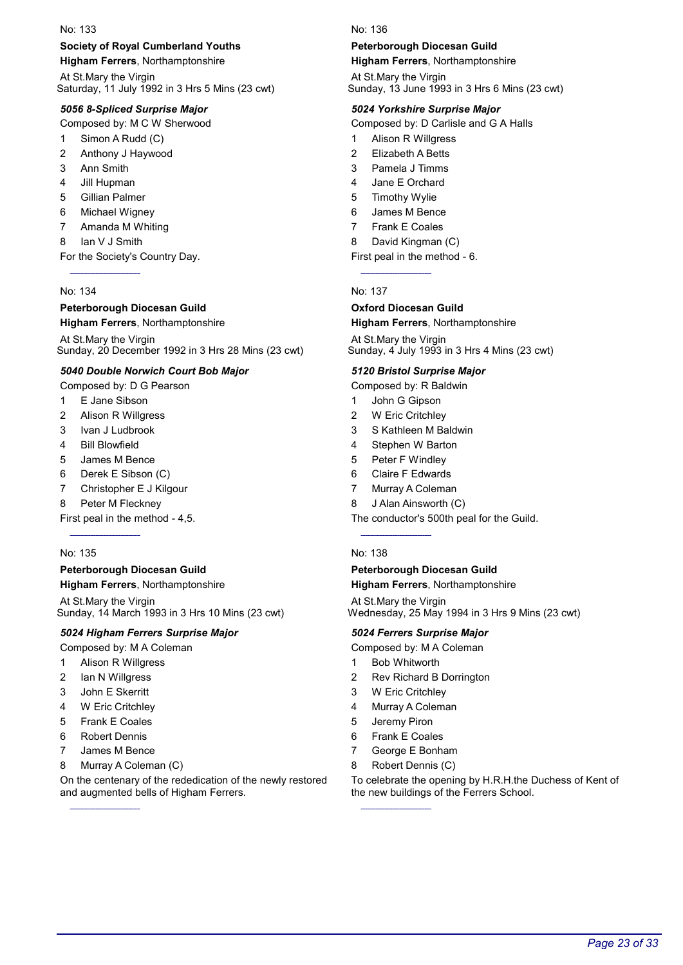### Society of Royal Cumberland Youths

Higham Ferrers, Northamptonshire

At St.Mary the Virgin Saturday, 11 July 1992 in 3 Hrs 5 Mins (23 cwt)

### 5056 8-Spliced Surprise Major

Composed by: M C W Sherwood

- 1 Simon A Rudd (C)
- 2 Anthony J Haywood
- 3 Ann Smith
- 4 Jill Hupman
- 5 Gillian Palmer
- 6 Michael Wigney
- 7 Amanda M Whiting
- 8 Ian V J Smith

For the Society's Country Day.

### No: 134

### Peterborough Diocesan Guild

Higham Ferrers, Northamptonshire

At St.Mary the Virgin Sunday, 20 December 1992 in 3 Hrs 28 Mins (23 cwt)

### 5040 Double Norwich Court Bob Major

Composed by: D G Pearson

- 1 E Jane Sibson
- 2 Alison R Willgress
- 3 Ivan J Ludbrook
- 4 Bill Blowfield
- 5 James M Bence
- 6 Derek E Sibson (C)
- 7 Christopher E J Kilgour
- 8 Peter M Fleckney

First peal in the method - 4,5.

### No: 135

### Peterborough Diocesan Guild

Higham Ferrers, Northamptonshire

At St.Mary the Virgin Sunday, 14 March 1993 in 3 Hrs 10 Mins (23 cwt)

### 5024 Higham Ferrers Surprise Major

Composed by: M A Coleman

- 1 Alison R Willgress
- 2 Ian N Willgress
- 3 John E Skerritt
- 4 W Eric Critchley
- 5 Frank E Coales
- 6 Robert Dennis
- 7 James M Bence
- 8 Murray A Coleman (C)

On the centenary of the rededication of the newly restored and augmented bells of Higham Ferrers.

No: 136

#### Peterborough Diocesan Guild

Higham Ferrers, Northamptonshire

At St.Mary the Virgin Sunday, 13 June 1993 in 3 Hrs 6 Mins (23 cwt)

#### 5024 Yorkshire Surprise Major

Composed by: D Carlisle and G A Halls

- 1 Alison R Willgress
- 2 Elizabeth A Betts
- 3 Pamela J Timms
- 4 Jane E Orchard
- 5 Timothy Wylie
- 6 James M Bence
- 7 Frank E Coales

8 David Kingman (C)

#### First peal in the method - 6.

No: 137

#### Oxford Diocesan Guild

Higham Ferrers, Northamptonshire

At St.Mary the Virgin Sunday, 4 July 1993 in 3 Hrs 4 Mins (23 cwt)

#### 5120 Bristol Surprise Major

Composed by: R Baldwin

- 1 John G Gipson
- 2 W Eric Critchley
- 3 S Kathleen M Baldwin
- 4 Stephen W Barton
- 5 Peter F Windley
- 6 Claire F Edwards
- 7 Murray A Coleman
- 8 J Alan Ainsworth (C)

The conductor's 500th peal for the Guild.

#### No: 138

#### Peterborough Diocesan Guild

Higham Ferrers, Northamptonshire

At St.Mary the Virgin Wednesday, 25 May 1994 in 3 Hrs 9 Mins (23 cwt)

#### 5024 Ferrers Surprise Major

Composed by: M A Coleman

- 1 Bob Whitworth
- 2 Rev Richard B Dorrington
- 3 W Eric Critchley
- 4 Murray A Coleman
- 5 Jeremy Piron
- 6 Frank E Coales
- 7 George E Bonham
- 8 Robert Dennis (C)

To celebrate the opening by H.R.H.the Duchess of Kent of the new buildings of the Ferrers School.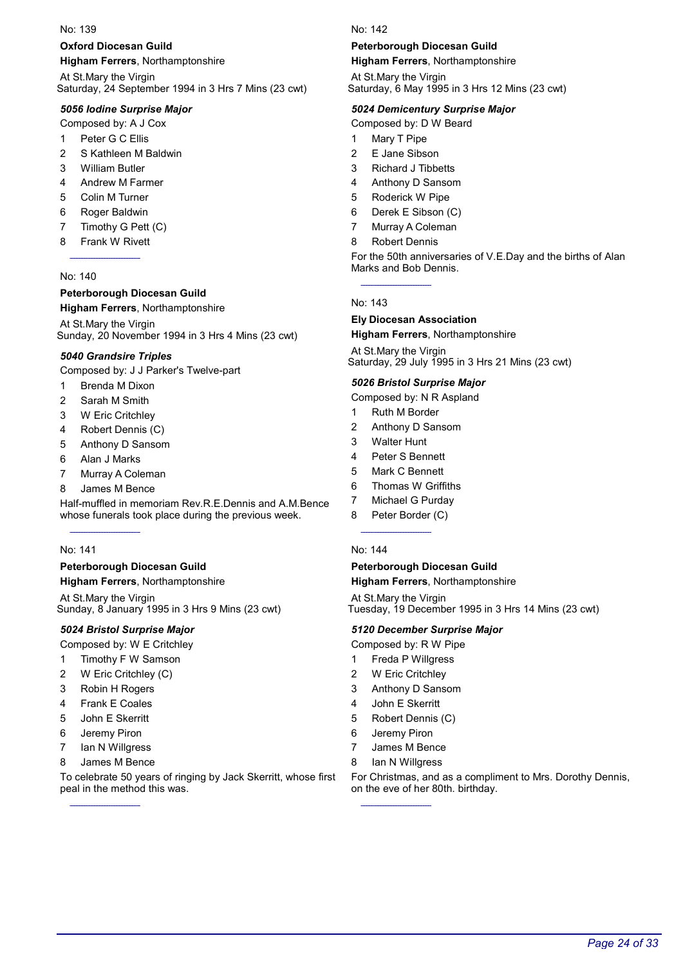### Oxford Diocesan Guild

Higham Ferrers, Northamptonshire

At St.Mary the Virgin Saturday, 24 September 1994 in 3 Hrs 7 Mins (23 cwt)

### 5056 Iodine Surprise Major

Composed by: A J Cox

- 1 Peter G C Ellis
- 2 S Kathleen M Baldwin
- 3 William Butler
- 4 Andrew M Farmer
- 5 Colin M Turner
- 6 Roger Baldwin
- 7 Timothy G Pett (C)
- 8 Frank W Rivett

### No: 140

### Peterborough Diocesan Guild

### Higham Ferrers, Northamptonshire

At St.Mary the Virgin Sunday, 20 November 1994 in 3 Hrs 4 Mins (23 cwt)

### 5040 Grandsire Triples

Composed by: J J Parker's Twelve-part

- 1 Brenda M Dixon
- 2 Sarah M Smith
- 3 W Eric Critchley
- 4 Robert Dennis (C)
- 5 Anthony D Sansom
- 6 Alan J Marks
- 7 Murray A Coleman
- 8 James M Bence

Half-muffled in memoriam Rev.R.E.Dennis and A.M.Bence whose funerals took place during the previous week.

### No: 141

### Peterborough Diocesan Guild

Higham Ferrers, Northamptonshire

At St.Mary the Virgin Sunday, 8 January 1995 in 3 Hrs 9 Mins (23 cwt)

### 5024 Bristol Surprise Major

Composed by: W E Critchley

- 1 Timothy F W Samson
- 2 W Eric Critchley (C)
- 3 Robin H Rogers
- 4 Frank E Coales
- 5 John E Skerritt
- 6 Jeremy Piron
- 7 Ian N Willgress
- 8 James M Bence

To celebrate 50 years of ringing by Jack Skerritt, whose first peal in the method this was.

No: 142

#### Peterborough Diocesan Guild

Higham Ferrers, Northamptonshire

At St.Mary the Virgin Saturday, 6 May 1995 in 3 Hrs 12 Mins (23 cwt)

#### 5024 Demicentury Surprise Major

Composed by: D W Beard

- 1 Mary T Pipe
- 2 E Jane Sibson
- 3 Richard J Tibbetts
- 4 Anthony D Sansom
- 5 Roderick W Pipe
- 6 Derek E Sibson (C)
- 7 Murray A Coleman
- 8 Robert Dennis

For the 50th anniversaries of V.E.Day and the births of Alan Marks and Bob Dennis.

#### No: 143

#### Ely Diocesan Association Higham Ferrers, Northamptonshire

At St.Mary the Virgin Saturday, 29 July 1995 in 3 Hrs 21 Mins (23 cwt)

### 5026 Bristol Surprise Major

- Composed by: N R Aspland
- 1 Ruth M Border
- 2 Anthony D Sansom
- 3 Walter Hunt
- 4 Peter S Bennett
- 5 Mark C Bennett
- 6 Thomas W Griffiths
- 7 Michael G Purday
- 8 Peter Border (C)

#### No: 144

#### Peterborough Diocesan Guild

Higham Ferrers, Northamptonshire

At St.Mary the Virgin Tuesday, 19 December 1995 in 3 Hrs 14 Mins (23 cwt)

#### 5120 December Surprise Major

Composed by: R W Pipe

- 1 Freda P Willgress
- 2 W Eric Critchley
- 3 Anthony D Sansom
- 4 John E Skerritt
- 5 Robert Dennis (C)
- 6 Jeremy Piron
- 7 James M Bence
- 8 Ian N Willgress

For Christmas, and as a compliment to Mrs. Dorothy Dennis, on the eve of her 80th. birthday.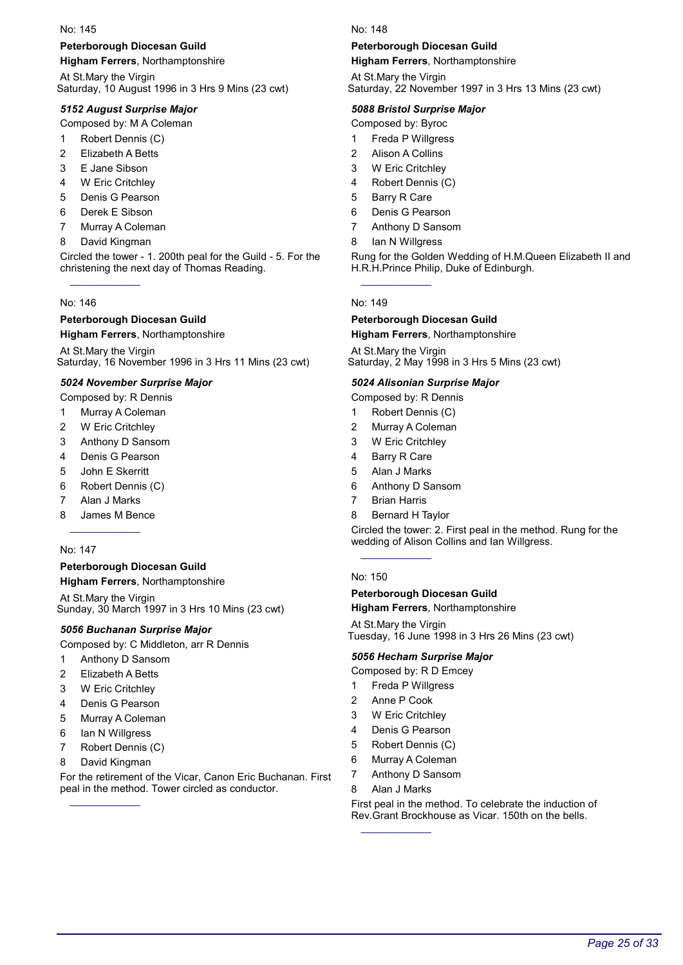#### Peterborough Diocesan Guild

Higham Ferrers, Northamptonshire

At St.Mary the Virgin Saturday, 10 August 1996 in 3 Hrs 9 Mins (23 cwt)

#### 5152 August Surprise Major

Composed by: M A Coleman

- 1 Robert Dennis (C)
- 2 Elizabeth A Betts
- 3 E Jane Sibson
- 4 W Eric Critchley
- 5 Denis G Pearson
- 6 Derek E Sibson
- 7 Murray A Coleman
- 8 David Kingman

Circled the tower - 1. 200th peal for the Guild - 5. For the christening the next day of Thomas Reading.

#### No: 146

#### Peterborough Diocesan Guild

Higham Ferrers, Northamptonshire

At St.Mary the Virgin Saturday, 16 November 1996 in 3 Hrs 11 Mins (23 cwt)

#### 5024 November Surprise Major

- Composed by: R Dennis
- 1 Murray A Coleman
- 2 W Eric Critchley
- 3 Anthony D Sansom
- 4 Denis G Pearson
- 5 John E Skerritt
- 6 Robert Dennis (C)
- 7 Alan J Marks
- 8 James M Bence

#### No: 147

#### Peterborough Diocesan Guild

Higham Ferrers, Northamptonshire

At St.Mary the Virgin Sunday, 30 March 1997 in 3 Hrs 10 Mins (23 cwt)

#### 5056 Buchanan Surprise Major

Composed by: C Middleton, arr R Dennis

- 1 Anthony D Sansom
- 2 Elizabeth A Betts
- 3 W Eric Critchley
- 4 Denis G Pearson
- 5 Murray A Coleman
- 6 Ian N Willgress
- 7 Robert Dennis (C)
- 8 David Kingman

For the retirement of the Vicar, Canon Eric Buchanan. First peal in the method. Tower circled as conductor.

No: 148

#### Peterborough Diocesan Guild

Higham Ferrers, Northamptonshire

At St.Mary the Virgin Saturday, 22 November 1997 in 3 Hrs 13 Mins (23 cwt)

#### 5088 Bristol Surprise Major

Composed by: Byroc

- 1 Freda P Willgress
- 2 Alison A Collins
- 3 W Eric Critchley
- 4 Robert Dennis (C)
- 5 Barry R Care
- 6 Denis G Pearson
- 7 Anthony D Sansom
- 8 Ian N Willgress

Rung for the Golden Wedding of H.M.Queen Elizabeth II and H.R.H.Prince Philip, Duke of Edinburgh.

#### No: 149

#### Peterborough Diocesan Guild Higham Ferrers, Northamptonshire

At St.Mary the Virgin Saturday, 2 May 1998 in 3 Hrs 5 Mins (23 cwt)

#### 5024 Alisonian Surprise Major

- Composed by: R Dennis
- 1 Robert Dennis (C)
- 2 Murray A Coleman
- 3 W Eric Critchley
- 4 Barry R Care
- 5 Alan J Marks
- 6 Anthony D Sansom
- 7 Brian Harris
- 8 Bernard H Taylor

Circled the tower: 2. First peal in the method. Rung for the wedding of Alison Collins and Ian Willgress.

#### No: 150

#### Peterborough Diocesan Guild

Higham Ferrers, Northamptonshire

At St.Mary the Virgin Tuesday, 16 June 1998 in 3 Hrs 26 Mins (23 cwt)

#### 5056 Hecham Surprise Major

Composed by: R D Emcey

- 1 Freda P Willgress
- 2 Anne P Cook
- 3 W Eric Critchley
- 4 Denis G Pearson
- 5 Robert Dennis (C)
- 6 Murray A Coleman
- 7 Anthony D Sansom
- 8 Alan J Marks

First peal in the method. To celebrate the induction of Rev.Grant Brockhouse as Vicar. 150th on the bells.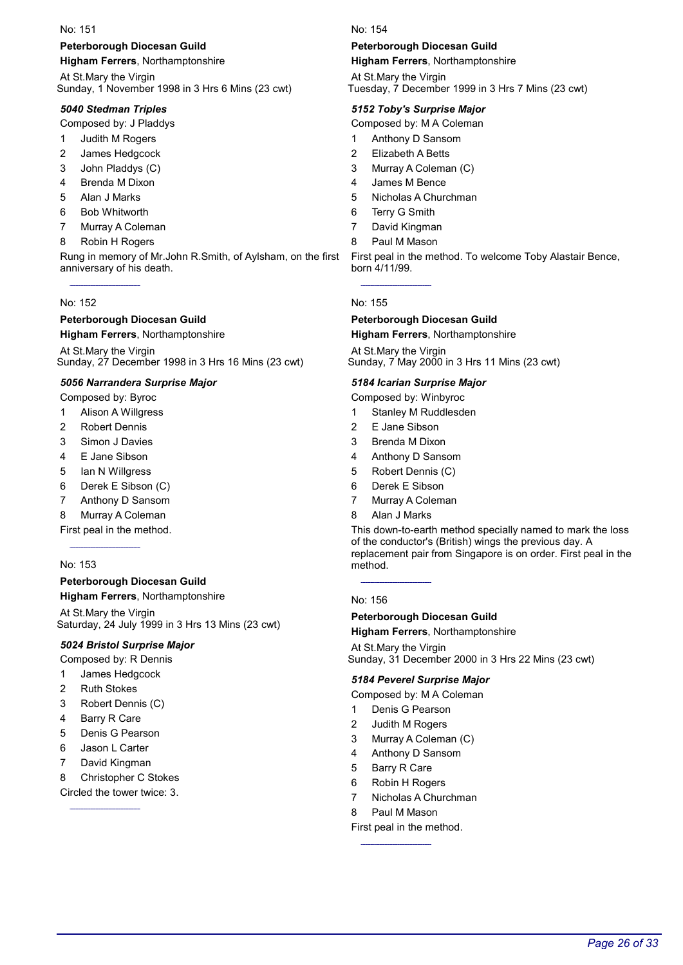### Peterborough Diocesan Guild

Higham Ferrers, Northamptonshire

At St.Mary the Virgin Sunday, 1 November 1998 in 3 Hrs 6 Mins (23 cwt)

### 5040 Stedman Triples

Composed by: J Pladdys

- 1 Judith M Rogers
- 2 James Hedgcock
- 3 John Pladdys (C)
- 4 Brenda M Dixon
- 5 Alan J Marks
- 6 Bob Whitworth
- 7 Murray A Coleman
- 8 Robin H Rogers

Rung in memory of Mr.John R.Smith, of Aylsham, on the first anniversary of his death.

#### No: 152

### Peterborough Diocesan Guild

Higham Ferrers, Northamptonshire

At St.Mary the Virgin Sunday, 27 December 1998 in 3 Hrs 16 Mins (23 cwt)

### 5056 Narrandera Surprise Major

- Composed by: Byroc 1 Alison A Willgress
- 
- 2 Robert Dennis
- 3 Simon J Davies
- 4 E Jane Sibson
- 5 Ian N Willgress
- 6 Derek E Sibson (C)
- 7 Anthony D Sansom
- 8 Murray A Coleman

First peal in the method.

#### No: 153

Peterborough Diocesan Guild Higham Ferrers, Northamptonshire

At St.Mary the Virgin Saturday, 24 July 1999 in 3 Hrs 13 Mins (23 cwt)

### 5024 Bristol Surprise Major

- Composed by: R Dennis
- 1 James Hedgcock
- 2 Ruth Stokes
- 3 Robert Dennis (C)
- 4 Barry R Care
- 5 Denis G Pearson
- 6 Jason L Carter
- 7 David Kingman
- 8 Christopher C Stokes

Circled the tower twice: 3.

#### No: 154

#### Peterborough Diocesan Guild

Higham Ferrers, Northamptonshire

At St.Mary the Virgin Tuesday, 7 December 1999 in 3 Hrs 7 Mins (23 cwt)

#### 5152 Toby's Surprise Major

Composed by: M A Coleman

- 1 Anthony D Sansom
- 2 Elizabeth A Betts
- 3 Murray A Coleman (C)
- 4 James M Bence
- 5 Nicholas A Churchman
- 6 Terry G Smith
- 7 David Kingman
- 8 Paul M Mason

First peal in the method. To welcome Toby Alastair Bence, born 4/11/99.

#### No: 155

#### Peterborough Diocesan Guild Higham Ferrers, Northamptonshire

At St.Mary the Virgin Sunday, 7 May 2000 in 3 Hrs 11 Mins (23 cwt)

### 5184 Icarian Surprise Major

- Composed by: Winbyroc
- 1 Stanley M Ruddlesden
- 2 E Jane Sibson
- 3 Brenda M Dixon
- 4 Anthony D Sansom
- 5 Robert Dennis (C)
- 6 Derek E Sibson
- 7 Murray A Coleman
- 8 Alan J Marks

This down-to-earth method specially named to mark the loss of the conductor's (British) wings the previous day. A replacement pair from Singapore is on order. First peal in the method.

#### No: 156

#### Peterborough Diocesan Guild

Higham Ferrers, Northamptonshire

At St.Mary the Virgin Sunday, 31 December 2000 in 3 Hrs 22 Mins (23 cwt)

#### 5184 Peverel Surprise Major

Composed by: M A Coleman

- 1 Denis G Pearson
- 2 Judith M Rogers
- 3 Murray A Coleman (C)
- 4 Anthony D Sansom
- 5 Barry R Care
- 6 Robin H Rogers
- 7 Nicholas A Churchman
- 8 Paul M Mason

#### First peal in the method.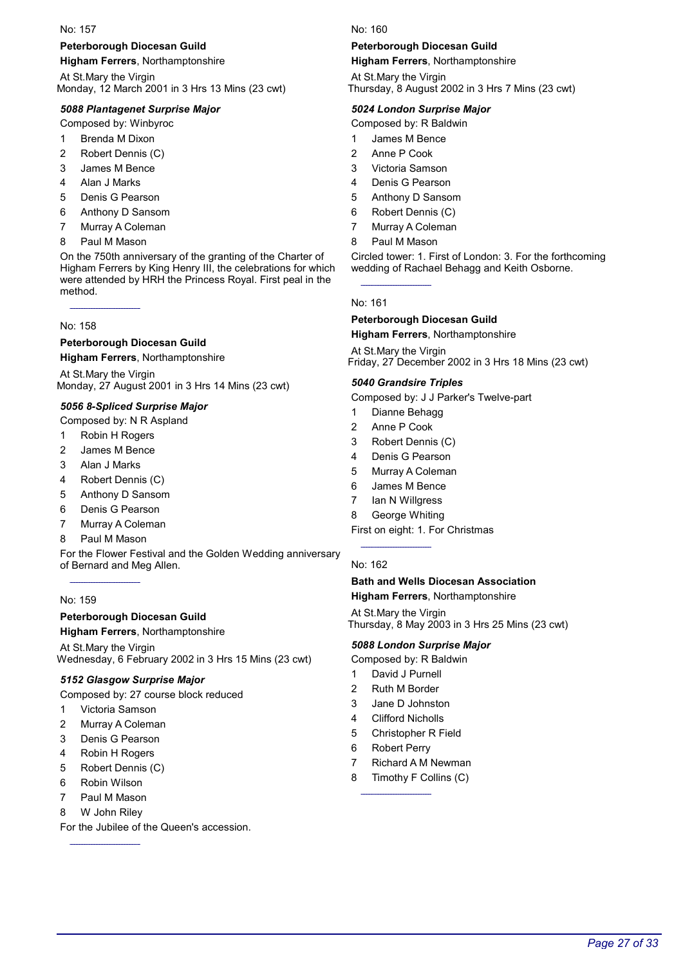### Peterborough Diocesan Guild

Higham Ferrers, Northamptonshire

At St.Mary the Virgin Monday, 12 March 2001 in 3 Hrs 13 Mins (23 cwt)

### 5088 Plantagenet Surprise Major

Composed by: Winbyroc

- 1 Brenda M Dixon
- 2 Robert Dennis (C)
- 3 James M Bence
- 4 Alan J Marks
- 5 Denis G Pearson
- 6 Anthony D Sansom
- 7 Murray A Coleman
- 8 Paul M Mason

On the 750th anniversary of the granting of the Charter of Higham Ferrers by King Henry III, the celebrations for which were attended by HRH the Princess Royal. First peal in the method.

No: 158

#### Peterborough Diocesan Guild

Higham Ferrers, Northamptonshire

At St.Mary the Virgin Monday, 27 August 2001 in 3 Hrs 14 Mins (23 cwt)

#### 5056 8-Spliced Surprise Major

Composed by: N R Aspland

- 1 Robin H Rogers
- 2 James M Bence
- 3 Alan J Marks
- 4 Robert Dennis (C)
- 5 Anthony D Sansom
- 6 Denis G Pearson
- 7 Murray A Coleman
- 8 Paul M Mason

For the Flower Festival and the Golden Wedding anniversary of Bernard and Meg Allen.

#### No: 159

#### Peterborough Diocesan Guild

Higham Ferrers, Northamptonshire

At St.Mary the Virgin Wednesday, 6 February 2002 in 3 Hrs 15 Mins (23 cwt)

### 5152 Glasgow Surprise Major

Composed by: 27 course block reduced

- 1 Victoria Samson
- 2 Murray A Coleman
- 3 Denis G Pearson
- 4 Robin H Rogers
- 5 Robert Dennis (C)
- 6 Robin Wilson
- 7 Paul M Mason
- 8 W John Riley

For the Jubilee of the Queen's accession.

#### No: 160

#### Peterborough Diocesan Guild

Higham Ferrers, Northamptonshire

At St.Mary the Virgin Thursday, 8 August 2002 in 3 Hrs 7 Mins (23 cwt)

#### 5024 London Surprise Major

Composed by: R Baldwin

- 1 James M Bence
- 2 Anne P Cook
- 3 Victoria Samson
- 4 Denis G Pearson
- 5 Anthony D Sansom
- 6 Robert Dennis (C)
- 7 Murray A Coleman
- 8 Paul M Mason

Circled tower: 1. First of London: 3. For the forthcoming wedding of Rachael Behagg and Keith Osborne.

#### No: 161

#### Peterborough Diocesan Guild Higham Ferrers, Northamptonshire

At St.Mary the Virgin Friday, 27 December 2002 in 3 Hrs 18 Mins (23 cwt)

#### 5040 Grandsire Triples

Composed by: J J Parker's Twelve-part

- 1 Dianne Behagg
- 2 Anne P Cook
- 3 Robert Dennis (C)
- 4 Denis G Pearson
- 5 Murray A Coleman
- 6 James M Bence
- 7 Ian N Willgress
- 8 George Whiting

First on eight: 1. For Christmas

#### No: 162

#### Bath and Wells Diocesan Association Higham Ferrers, Northamptonshire

At St.Mary the Virgin Thursday, 8 May 2003 in 3 Hrs 25 Mins (23 cwt)

### 5088 London Surprise Major

- Composed by: R Baldwin
- 1 David J Purnell
- 2 Ruth M Border
- 3 Jane D Johnston
- 4 Clifford Nicholls
- 5 Christopher R Field
- 6 Robert Perry
- 7 Richard A M Newman
- 8 Timothy F Collins (C)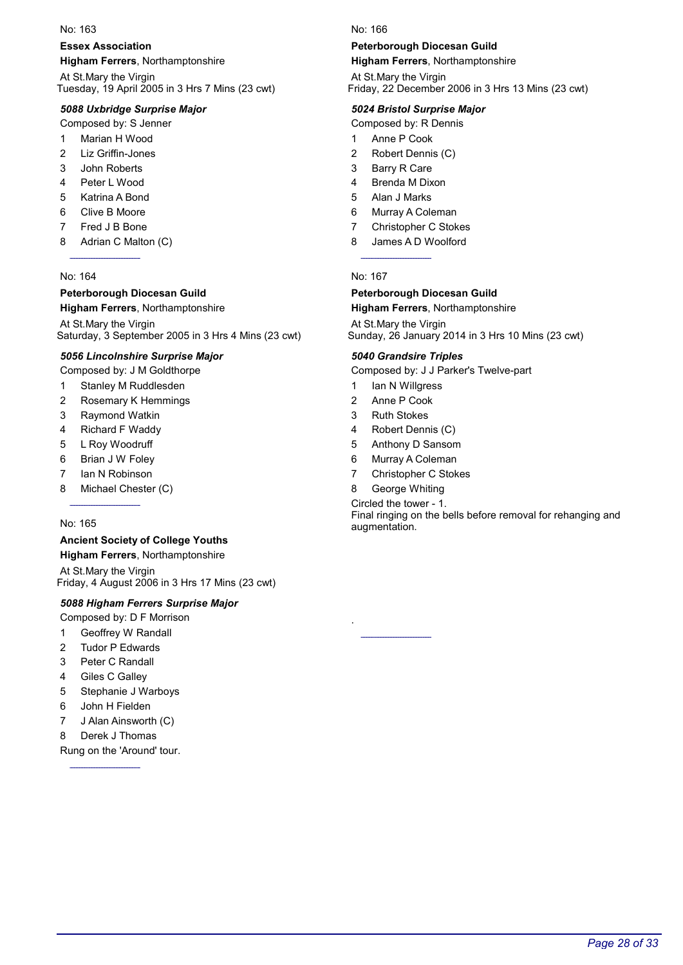#### Essex Association

Higham Ferrers, Northamptonshire

At St.Mary the Virgin Tuesday, 19 April 2005 in 3 Hrs 7 Mins (23 cwt)

#### 5088 Uxbridge Surprise Major

Composed by: S Jenner

- 1 Marian H Wood
- 2 Liz Griffin-Jones
- 3 John Roberts
- 4 Peter L Wood
- 5 Katrina A Bond
- 6 Clive B Moore
- 7 Fred J B Bone
- 8 Adrian C Malton (C)

#### No: 164

### Peterborough Diocesan Guild

#### Higham Ferrers, Northamptonshire

At St.Mary the Virgin Saturday, 3 September 2005 in 3 Hrs 4 Mins (23 cwt)

#### 5056 Lincolnshire Surprise Major

Composed by: J M Goldthorpe

- 1 Stanley M Ruddlesden
- 2 Rosemary K Hemmings
- 3 Raymond Watkin
- 4 Richard F Waddy
- 5 L Roy Woodruff
- 6 Brian J W Foley
- 7 Ian N Robinson
- 8 Michael Chester (C)

#### No: 165

# Ancient Society of College Youths

Higham Ferrers, Northamptonshire At St.Mary the Virgin Friday, 4 August 2006 in 3 Hrs 17 Mins (23 cwt)

### 5088 Higham Ferrers Surprise Major

- Composed by: D F Morrison
- 1 Geoffrey W Randall
- 2 Tudor P Edwards
- 3 Peter C Randall
- 4 Giles C Galley
- 5 Stephanie J Warboys
- 6 John H Fielden
- 7 J Alan Ainsworth (C)
- 8 Derek J Thomas

Rung on the 'Around' tour.

#### No: 166

#### Peterborough Diocesan Guild

Higham Ferrers, Northamptonshire

At St.Mary the Virgin Friday, 22 December 2006 in 3 Hrs 13 Mins (23 cwt)

#### 5024 Bristol Surprise Major

Composed by: R Dennis

- 1 Anne P Cook
- 2 Robert Dennis (C)
- 3 Barry R Care
- 4 Brenda M Dixon
- 5 Alan J Marks
- 6 Murray A Coleman
- 7 Christopher C Stokes
- 8 James A D Woolford

#### No: 167

# Peterborough Diocesan Guild

Higham Ferrers, Northamptonshire

At St.Mary the Virgin Sunday, 26 January 2014 in 3 Hrs 10 Mins (23 cwt)

#### 5040 Grandsire Triples

Composed by: J J Parker's Twelve-part

- 1 Ian N Willgress
- 2 Anne P Cook
- 3 Ruth Stokes
- 4 Robert Dennis (C)
- 5 Anthony D Sansom
- 6 Murray A Coleman
- 7 Christopher C Stokes
- 8 George Whiting

Circled the tower - 1. Final ringing on the bells before removal for rehanging and augmentation.

.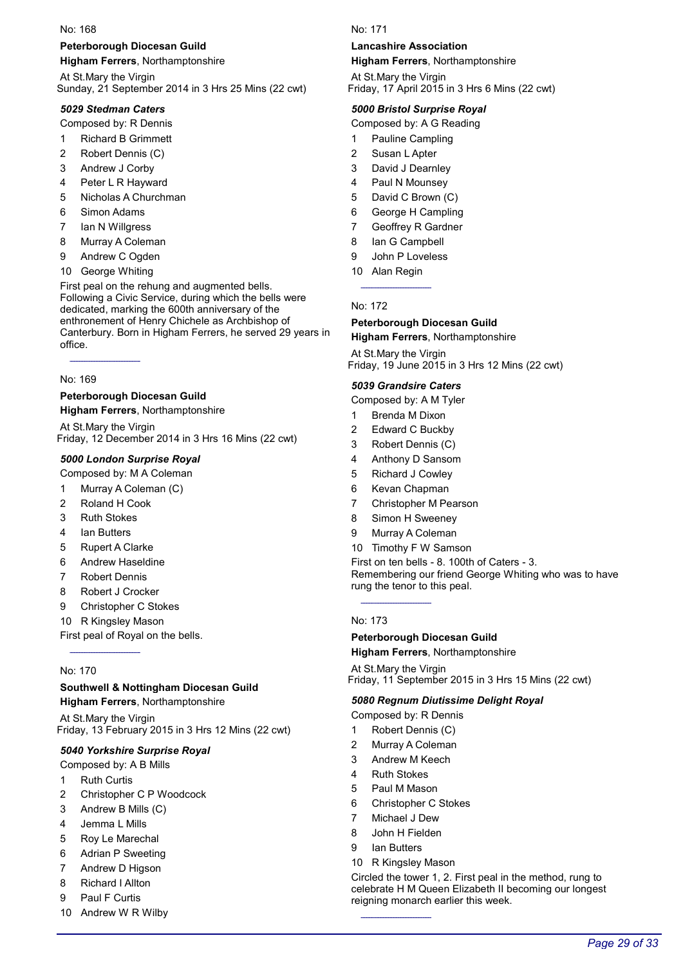#### Peterborough Diocesan Guild

Higham Ferrers, Northamptonshire

At St.Mary the Virgin Sunday, 21 September 2014 in 3 Hrs 25 Mins (22 cwt)

#### 5029 Stedman Caters

Composed by: R Dennis

- 1 Richard B Grimmett
- 2 Robert Dennis (C)
- 3 Andrew J Corby
- 4 Peter L R Hayward
- 5 Nicholas A Churchman
- 6 Simon Adams
- 7 Ian N Willgress
- 8 Murray A Coleman
- 9 Andrew C Ogden
- 10 George Whiting

First peal on the rehung and augmented bells. Following a Civic Service, during which the bells were dedicated, marking the 600th anniversary of the enthronement of Henry Chichele as Archbishop of Canterbury. Born in Higham Ferrers, he served 29 years in office.

#### No: 169

# Peterborough Diocesan Guild

Higham Ferrers, Northamptonshire

At St.Mary the Virgin Friday, 12 December 2014 in 3 Hrs 16 Mins (22 cwt)

#### 5000 London Surprise Royal

Composed by: M A Coleman

- 1 Murray A Coleman (C)
- 2 Roland H Cook
- 3 Ruth Stokes
- 4 Ian Butters
- 5 Rupert A Clarke
- 6 Andrew Haseldine
- 7 Robert Dennis
- 8 Robert J Crocker
- 9 Christopher C Stokes
- 10 R Kingsley Mason

First peal of Royal on the bells.

#### No: 170

# Southwell & Nottingham Diocesan Guild

Higham Ferrers, Northamptonshire

At St.Mary the Virgin Friday, 13 February 2015 in 3 Hrs 12 Mins (22 cwt)

#### 5040 Yorkshire Surprise Royal

Composed by: A B Mills

- 1 Ruth Curtis
- 2 Christopher C P Woodcock
- 3 Andrew B Mills (C)
- 4 Jemma L Mills
- 5 Roy Le Marechal
- 6 Adrian P Sweeting
- 7 Andrew D Higson
- 8 Richard I Allton
- Paul F Curtis
- 10 Andrew W R Wilby

#### No: 171

#### Lancashire Association

Higham Ferrers, Northamptonshire

At St.Mary the Virgin Friday, 17 April 2015 in 3 Hrs 6 Mins (22 cwt)

#### 5000 Bristol Surprise Royal

Composed by: A G Reading

- 1 Pauline Campling
- 2 Susan L Apter
- 3 David J Dearnley
- 4 Paul N Mounsey
- 5 David C Brown (C)
- 6 George H Campling
- 7 Geoffrey R Gardner
- 8 Ian G Campbell
- 9 John P Loveless
- 10 Alan Regin

#### No: 172

#### Peterborough Diocesan Guild

Higham Ferrers, Northamptonshire

At St.Mary the Virgin Friday, 19 June 2015 in 3 Hrs 12 Mins (22 cwt)

#### 5039 Grandsire Caters

Composed by: A M Tyler

- 1 Brenda M Dixon
- 2 Edward C Buckby
- 3 Robert Dennis (C)
- 4 Anthony D Sansom
- 5 Richard J Cowley
- 6 Kevan Chapman
- 7 Christopher M Pearson
- 8 Simon H Sweeney
- 9 Murray A Coleman
- 10 Timothy F W Samson

First on ten bells - 8. 100th of Caters - 3. Remembering our friend George Whiting who was to have rung the tenor to this peal.

#### No: 173

### Peterborough Diocesan Guild

Higham Ferrers, Northamptonshire

At St.Mary the Virgin Friday, 11 September 2015 in 3 Hrs 15 Mins (22 cwt)

#### 5080 Regnum Diutissime Delight Royal

Composed by: R Dennis

- 1 Robert Dennis (C)
- 2 Murray A Coleman
- 3 Andrew M Keech
- 4 Ruth Stokes
- 5 Paul M Mason
- 6 Christopher C Stokes
- 7 Michael J Dew
- 8 John H Fielden
- 9 Ian Butters
- 10 R Kingsley Mason

Circled the tower 1, 2. First peal in the method, rung to celebrate H M Queen Elizabeth II becoming our longest reigning monarch earlier this week.

Page 29 of 33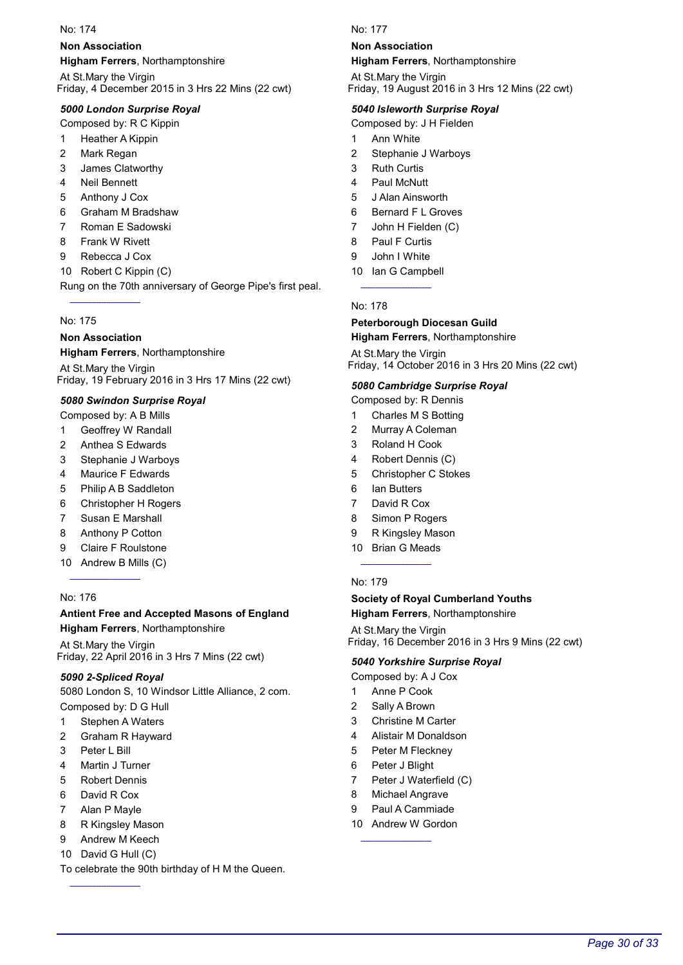#### Non Association

Higham Ferrers, Northamptonshire

At St.Mary the Virgin Friday, 4 December 2015 in 3 Hrs 22 Mins (22 cwt)

#### 5000 London Surprise Royal

Composed by: R C Kippin

- 1 Heather A Kippin
- 2 Mark Regan
- 3 James Clatworthy
- 4 Neil Bennett
- 5 Anthony J Cox
- 6 Graham M Bradshaw
- 7 Roman E Sadowski
- 8 Frank W Rivett
- 9 Rebecca J Cox
- 10 Robert C Kippin (C)

Rung on the 70th anniversary of George Pipe's first peal.

#### No: 175

# Non Association

Higham Ferrers, Northamptonshire At St.Mary the Virgin

Friday, 19 February 2016 in 3 Hrs 17 Mins (22 cwt)

#### 5080 Swindon Surprise Royal

Composed by: A B Mills

- 1 Geoffrey W Randall
- 2 Anthea S Edwards
- 3 Stephanie J Warboys
- 4 Maurice F Edwards
- 5 Philip A B Saddleton
- 6 Christopher H Rogers
- 7 Susan E Marshall
- 8 Anthony P Cotton
- 9 Claire F Roulstone
- 10 Andrew B Mills (C)

#### No: 176

#### Antient Free and Accepted Masons of England Higham Ferrers, Northamptonshire

At St.Mary the Virgin Friday, 22 April 2016 in 3 Hrs 7 Mins (22 cwt)

#### 5090 2-Spliced Royal

5080 London S, 10 Windsor Little Alliance, 2 com.

Composed by: D G Hull

- 1 Stephen A Waters
- 2 Graham R Hayward
- 3 Peter L Bill
- 4 Martin J Turner
- 5 Robert Dennis
- 6 David R Cox
- 7 Alan P Mayle
- 8 R Kingsley Mason
- 9 Andrew M Keech
- 10 David G Hull (C)

To celebrate the 90th birthday of H M the Queen.

#### No: 177

#### Non Association

Higham Ferrers, Northamptonshire

At St.Mary the Virgin Friday, 19 August 2016 in 3 Hrs 12 Mins (22 cwt)

#### 5040 Isleworth Surprise Royal

Composed by: J H Fielden

- 1 Ann White
- 2 Stephanie J Warboys
- 3 Ruth Curtis
- 4 Paul McNutt
- 5 J Alan Ainsworth
- 6 Bernard F L Groves
- 7 John H Fielden (C)
- 8 Paul F Curtis
- 9 John I White
- 10 Ian G Campbell

No: 178

### Peterborough Diocesan Guild

Higham Ferrers, Northamptonshire

At St.Mary the Virgin Friday, 14 October 2016 in 3 Hrs 20 Mins (22 cwt)

#### 5080 Cambridge Surprise Royal

Composed by: R Dennis

- 1 Charles M S Botting
- 2 Murray A Coleman
- 3 Roland H Cook
- 4 Robert Dennis (C)
- 5 Christopher C Stokes
- 6 Ian Butters
- 7 David R Cox
- 8 Simon P Rogers
- 9 R Kingsley Mason
- 10 Brian G Meads

#### No: 179

#### Society of Royal Cumberland Youths **Higham Ferrers**, Northamptonshire

At St.Mary the Virgin Friday, 16 December 2016 in 3 Hrs 9 Mins (22 cwt)

#### 5040 Yorkshire Surprise Royal

Composed by: A J Cox

- 1 Anne P Cook
- 2 Sally A Brown
- 3 Christine M Carter
- 4 Alistair M Donaldson
- 5 Peter M Fleckney
- 6 Peter J Blight
- 7 Peter J Waterfield (C)
- 8 Michael Angrave
- 9 Paul A Cammiade
- 10 Andrew W Gordon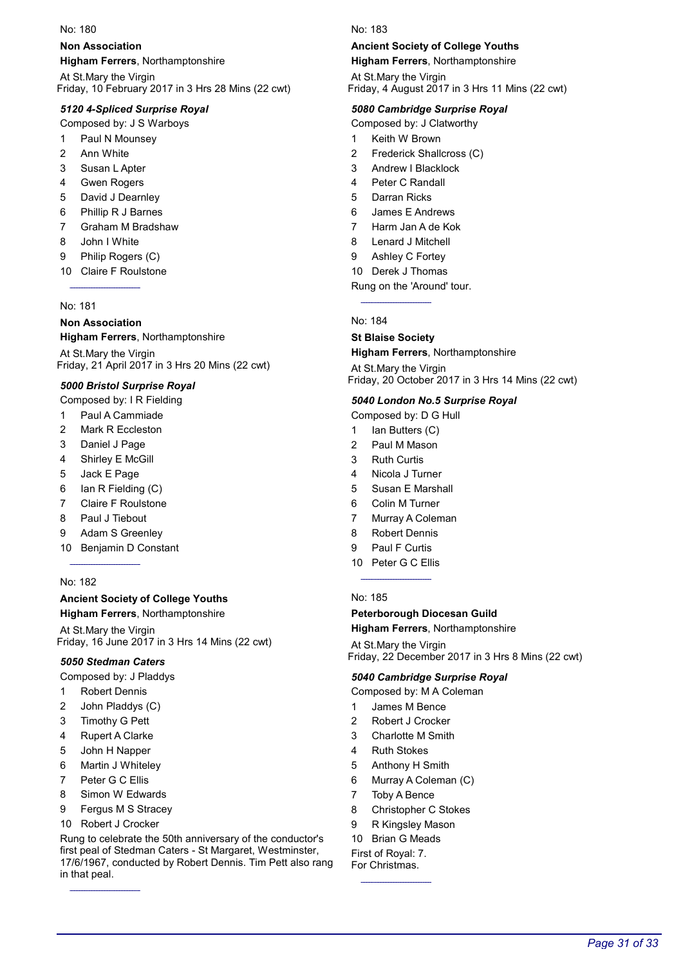#### Non Association

Higham Ferrers, Northamptonshire

At St.Mary the Virgin Friday, 10 February 2017 in 3 Hrs 28 Mins (22 cwt)

#### 5120 4-Spliced Surprise Royal

Composed by: J S Warboys

- 1 Paul N Mounsey
- 2 Ann White
- 3 Susan L Apter
- 4 Gwen Rogers
- 5 David J Dearnley
- 6 Phillip R J Barnes
- 7 Graham M Bradshaw
- 8 John I White
- 9 Philip Rogers (C)
- 10 Claire F Roulstone

#### No: 181

#### Non Association

Higham Ferrers, Northamptonshire

At St.Mary the Virgin Friday, 21 April 2017 in 3 Hrs 20 Mins (22 cwt)

#### 5000 Bristol Surprise Royal

- Composed by: I R Fielding
- 1 Paul A Cammiade
- 2 Mark R Eccleston
- 3 Daniel J Page
- 4 Shirley E McGill
- 5 Jack E Page
- 6 Ian R Fielding (C)
- 7 Claire F Roulstone
- 8 Paul J Tiebout
- 9 Adam S Greenley
- 10 Benjamin D Constant

#### No: 182

#### Ancient Society of College Youths **Higham Ferrers**, Northamptonshire

At St.Mary the Virgin Friday, 16 June 2017 in 3 Hrs 14 Mins (22 cwt)

#### 5050 Stedman Caters

- Composed by: J Pladdys
- 1 Robert Dennis
- 2 John Pladdys (C)
- 3 Timothy G Pett
- 4 Rupert A Clarke
- 5 John H Napper
- 6 Martin J Whiteley
- 7 Peter G C Ellis
- 8 Simon W Edwards
- 9 Fergus M S Stracey
- 10 Robert J Crocker

Rung to celebrate the 50th anniversary of the conductor's first peal of Stedman Caters - St Margaret, Westminster, 17/6/1967, conducted by Robert Dennis. Tim Pett also rang in that peal.

#### No: 183

### Ancient Society of College Youths

Higham Ferrers, Northamptonshire

At St.Mary the Virgin Friday, 4 August 2017 in 3 Hrs 11 Mins (22 cwt)

#### 5080 Cambridge Surprise Royal

Composed by: J Clatworthy

- 1 Keith W Brown
- 2 Frederick Shallcross (C)
- 3 Andrew I Blacklock
- 4 Peter C Randall
- 5 Darran Ricks
- 6 James E Andrews
- 7 Harm Jan A de Kok
- 8 Lenard J Mitchell
- 9 Ashley C Fortey
- 10 Derek J Thomas

Rung on the 'Around' tour.

No: 184

#### St Blaise Society

# Higham Ferrers, Northamptonshire

At St.Mary the Virgin Friday, 20 October 2017 in 3 Hrs 14 Mins (22 cwt)

#### 5040 London No.5 Surprise Royal

Composed by: D G Hull

- 1 Ian Butters (C)
- 2 Paul M Mason
- 3 Ruth Curtis
- 4 Nicola J Turner
- 5 Susan E Marshall
- 6 Colin M Turner
- 7 Murray A Coleman
- 8 Robert Dennis
- 9 Paul F Curtis
- 10 Peter G C Ellis

#### No: 185

#### Peterborough Diocesan Guild

#### Higham Ferrers, Northamptonshire

At St.Mary the Virgin Friday, 22 December 2017 in 3 Hrs 8 Mins (22 cwt)

#### 5040 Cambridge Surprise Royal

Composed by: M A Coleman

- 1 James M Bence
- 2 Robert J Crocker
- 3 Charlotte M Smith
- 4 Ruth Stokes
- 5 Anthony H Smith
- 6 Murray A Coleman (C)
- 7 Toby A Bence
- 8 Christopher C Stokes
- 9 R Kingsley Mason
- 10 Brian G Meads

#### First of Royal: 7. For Christmas.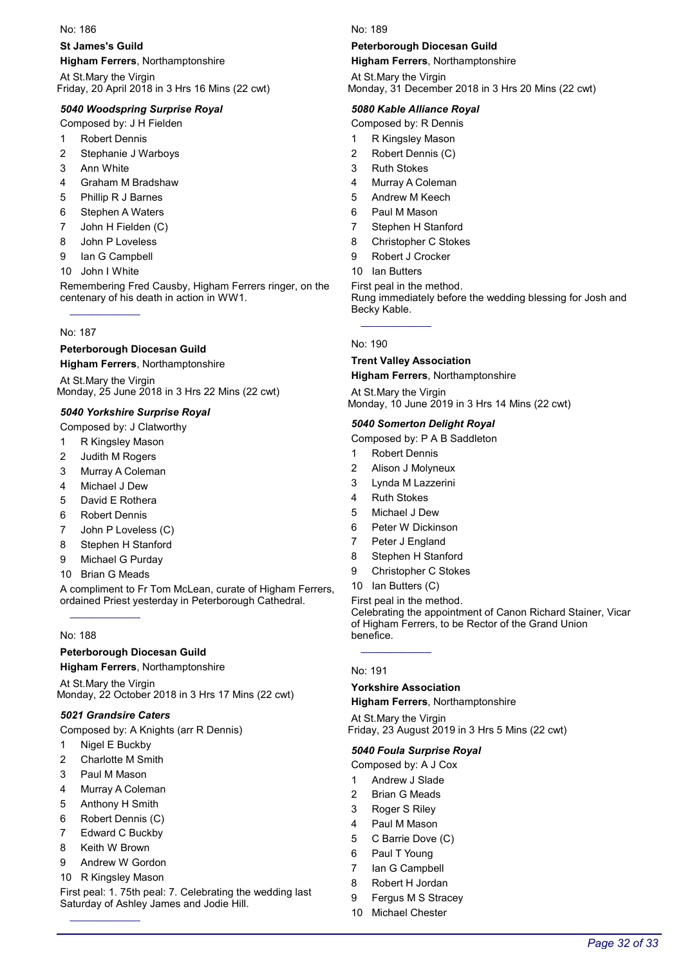#### St James's Guild

Higham Ferrers, Northamptonshire

At St.Mary the Virgin Friday, 20 April 2018 in 3 Hrs 16 Mins (22 cwt)

#### 5040 Woodspring Surprise Royal

Composed by: J H Fielden

- 1 Robert Dennis
- 2 Stephanie J Warboys
- 3 Ann White
- 4 Graham M Bradshaw
- 5 Phillip R J Barnes
- 6 Stephen A Waters
- 7 John H Fielden (C)
- 8 John P Loveless
- 9 Ian G Campbell
- 10 John I White

Remembering Fred Causby, Higham Ferrers ringer, on the centenary of his death in action in WW1.

#### No: 187

#### Peterborough Diocesan Guild

Higham Ferrers, Northamptonshire

At St.Mary the Virgin Monday, 25 June 2018 in 3 Hrs 22 Mins (22 cwt)

#### 5040 Yorkshire Surprise Royal

Composed by: J Clatworthy

- 1 R Kingsley Mason
- 2 Judith M Rogers
- 3 Murray A Coleman
- 4 Michael J Dew
- 5 David E Rothera
- 6 Robert Dennis
- 7 John P Loveless (C)
- 8 Stephen H Stanford
- 9 Michael G Purday
- 10 Brian G Meads

A compliment to Fr Tom McLean, curate of Higham Ferrers, ordained Priest yesterday in Peterborough Cathedral.

#### No: 188

#### Peterborough Diocesan Guild

Higham Ferrers, Northamptonshire

At St.Mary the Virgin Monday, 22 October 2018 in 3 Hrs 17 Mins (22 cwt)

#### 5021 Grandsire Caters

Composed by: A Knights (arr R Dennis)

- 1 Nigel E Buckby
- 2 Charlotte M Smith
- 3 Paul M Mason
- 4 Murray A Coleman
- 5 Anthony H Smith
- 6 Robert Dennis (C)
- 7 Edward C Buckby
- 8 Keith W Brown
- 9 Andrew W Gordon
- 10 R Kingsley Mason

First peal: 1. 75th peal: 7. Celebrating the wedding last Saturday of Ashley James and Jodie Hill.

No: 189

#### Peterborough Diocesan Guild

Higham Ferrers, Northamptonshire

At St.Mary the Virgin Monday, 31 December 2018 in 3 Hrs 20 Mins (22 cwt)

#### 5080 Kable Alliance Royal

Composed by: R Dennis

- 1 R Kingsley Mason
- 2 Robert Dennis (C)
- 3 Ruth Stokes
- 4 Murray A Coleman
- 5 Andrew M Keech
- 6 Paul M Mason
- 7 Stephen H Stanford
- 8 Christopher C Stokes
- 9 Robert J Crocker
- 10 Ian Butters

First peal in the method.

Rung immediately before the wedding blessing for Josh and Becky Kable.

#### No: 190

# Trent Valley Association

Higham Ferrers, Northamptonshire

At St.Mary the Virgin Monday, 10 June 2019 in 3 Hrs 14 Mins (22 cwt)

#### 5040 Somerton Delight Royal

- Composed by: P A B Saddleton
- 1 Robert Dennis
- 2 Alison J Molyneux
- 3 Lynda M Lazzerini
- 4 Ruth Stokes
- 5 Michael J Dew
- 6 Peter W Dickinson
- 7 Peter J England
- 8 Stephen H Stanford
- 9 Christopher C Stokes
- 10 Ian Butters (C)

First peal in the method.

Celebrating the appointment of Canon Richard Stainer, Vicar of Higham Ferrers, to be Rector of the Grand Union benefice.

Page 32 of 33

#### No: 191

#### Yorkshire Association

Higham Ferrers, Northamptonshire

At St.Mary the Virgin Friday, 23 August 2019 in 3 Hrs 5 Mins (22 cwt)

#### 5040 Foula Surprise Royal

Composed by: A J Cox

- 1 Andrew J Slade
- 2 Brian G Meads
- 3 Roger S Riley
- 4 Paul M Mason
- 5 C Barrie Dove (C)
- 6 Paul T Young
- 7 Ian G Campbell 8 Robert H Jordan

9 Fergus M S Stracey 10 Michael Chester